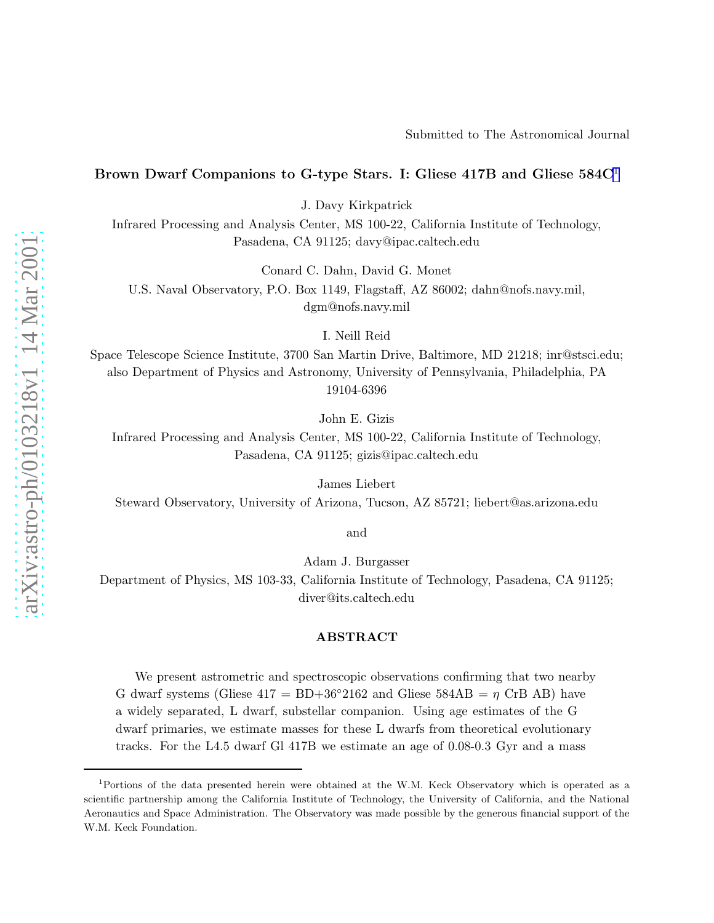## Submitted to The Astronomical Journal

# Brown Dwarf Companions to G-type Stars. I: Gliese 417B and Gliese  $584C<sup>1</sup>$

J. Davy Kirkpatrick

Infrared Processing and Analysis Center, MS 100-22, California Institute of Technology, Pasadena, CA 91125; davy@ipac.caltech.edu

Conard C. Dahn, David G. Monet

U.S. Naval Observatory, P.O. Box 1149, Flagstaff, AZ 86002; dahn@nofs.navy.mil, dgm@nofs.navy.mil

I. Neill Reid

Space Telescope Science Institute, 3700 San Martin Drive, Baltimore, MD 21218; inr@stsci.edu; also Department of Physics and Astronomy, University of Pennsylvania, Philadelphia, PA 19104-6396

John E. Gizis

Infrared Processing and Analysis Center, MS 100-22, California Institute of Technology, Pasadena, CA 91125; gizis@ipac.caltech.edu

James Liebert

Steward Observatory, University of Arizona, Tucson, AZ 85721; liebert@as.arizona.edu

and

Adam J. Burgasser

Department of Physics, MS 103-33, California Institute of Technology, Pasadena, CA 91125; diver@its.caltech.edu

# ABSTRACT

We present astrometric and spectroscopic observations confirming that two nearby G dwarf systems (Gliese  $417 = BD+36°2162$  and Gliese  $584AB = \eta$  CrB AB) have a widely separated, L dwarf, substellar companion. Using age estimates of the G dwarf primaries, we estimate masses for these L dwarfs from theoretical evolutionary tracks. For the L4.5 dwarf Gl 417B we estimate an age of 0.08-0.3 Gyr and a mass

<sup>1</sup>Portions of the data presented herein were obtained at the W.M. Keck Observatory which is operated as a scientific partnership among the California Institute of Technology, the University of California, and the National Aeronautics and Space Administration. The Observatory was made possible by the generous financial support of the W.M. Keck Foundation.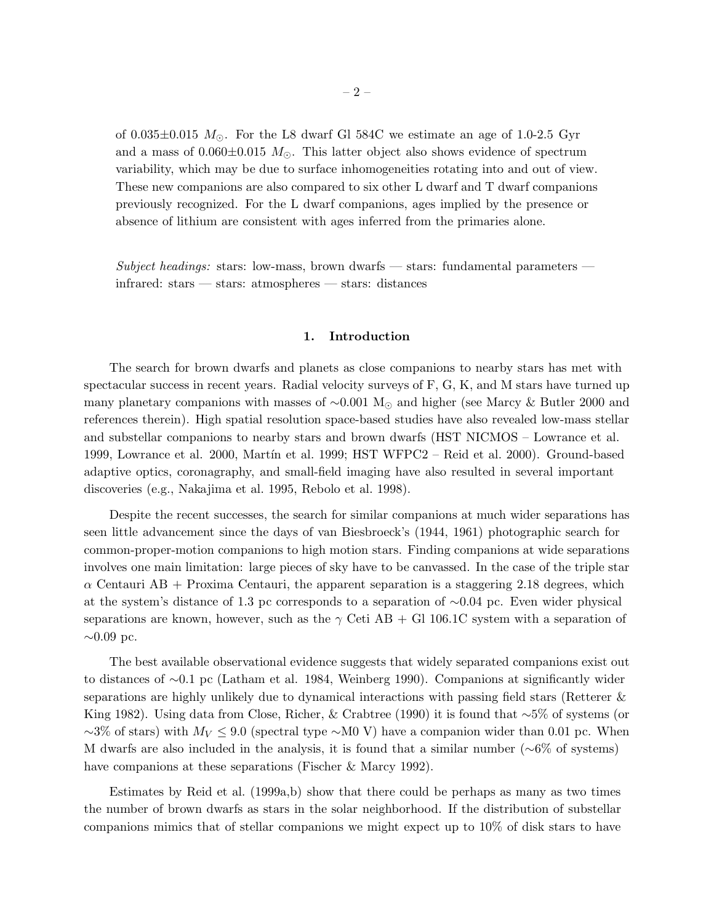of 0.035 $\pm$ 0.015  $M_{\odot}$ . For the L8 dwarf Gl 584C we estimate an age of 1.0-2.5 Gyr and a mass of  $0.060\pm0.015$   $M_{\odot}$ . This latter object also shows evidence of spectrum variability, which may be due to surface inhomogeneities rotating into and out of view. These new companions are also compared to six other L dwarf and T dwarf companions previously recognized. For the L dwarf companions, ages implied by the presence or absence of lithium are consistent with ages inferred from the primaries alone.

*Subject headings:* stars: low-mass, brown dwarfs — stars: fundamental parameters infrared: stars — stars: atmospheres — stars: distances

#### 1. Introduction

The search for brown dwarfs and planets as close companions to nearby stars has met with spectacular success in recent years. Radial velocity surveys of F, G, K, and M stars have turned up many planetary companions with masses of ~0.001 M<sub>☉</sub> and higher (see Marcy & Butler 2000 and references therein). High spatial resolution space-based studies have also revealed low-mass stellar and substellar companions to nearby stars and brown dwarfs (HST NICMOS – Lowrance et al. 1999, Lowrance et al. 2000, Martín et al. 1999; HST WFPC2 – Reid et al. 2000). Ground-based adaptive optics, coronagraphy, and small-field imaging have also resulted in several important discoveries (e.g., Nakajima et al. 1995, Rebolo et al. 1998).

Despite the recent successes, the search for similar companions at much wider separations has seen little advancement since the days of van Biesbroeck's (1944, 1961) photographic search for common-proper-motion companions to high motion stars. Finding companions at wide separations involves one main limitation: large pieces of sky have to be canvassed. In the case of the triple star  $\alpha$  Centauri AB + Proxima Centauri, the apparent separation is a staggering 2.18 degrees, which at the system's distance of 1.3 pc corresponds to a separation of ∼0.04 pc. Even wider physical separations are known, however, such as the  $\gamma$  Ceti AB + Gl 106.1C system with a separation of  $\sim 0.09$  pc.

The best available observational evidence suggests that widely separated companions exist out to distances of ∼0.1 pc (Latham et al. 1984, Weinberg 1990). Companions at significantly wider separations are highly unlikely due to dynamical interactions with passing field stars (Retterer & King 1982). Using data from Close, Richer, & Crabtree (1990) it is found that ∼5% of systems (or  $~\sim$ 3% of stars) with  $M_V \leq 9.0$  (spectral type ∼M0 V) have a companion wider than 0.01 pc. When M dwarfs are also included in the analysis, it is found that a similar number ( $\sim 6\%$  of systems) have companions at these separations (Fischer & Marcy 1992).

Estimates by Reid et al. (1999a,b) show that there could be perhaps as many as two times the number of brown dwarfs as stars in the solar neighborhood. If the distribution of substellar companions mimics that of stellar companions we might expect up to 10% of disk stars to have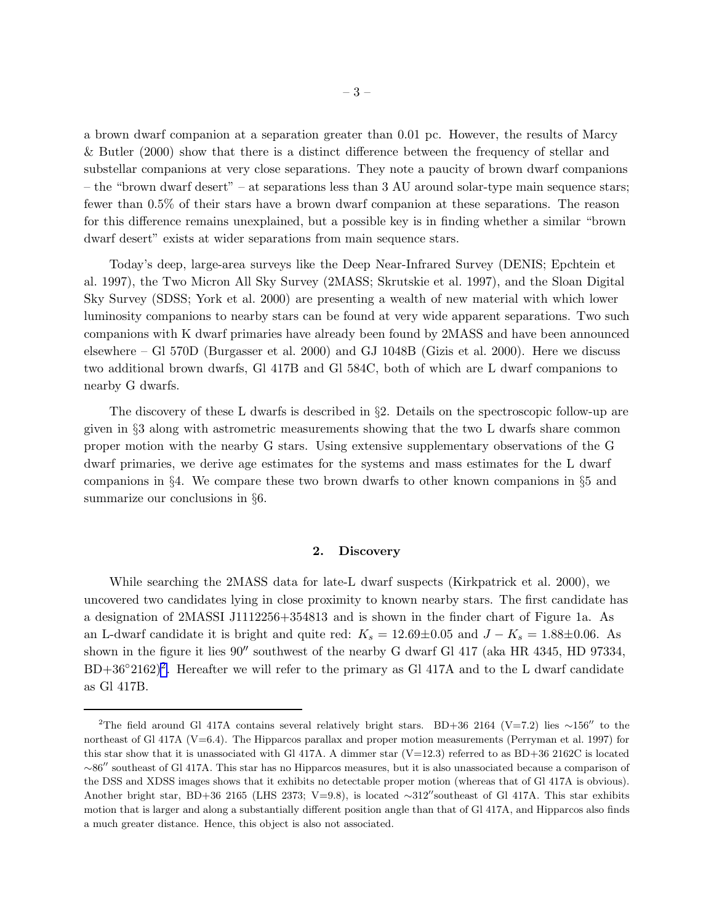a brown dwarf companion at a separation greater than 0.01 pc. However, the results of Marcy & Butler (2000) show that there is a distinct difference between the frequency of stellar and substellar companions at very close separations. They note a paucity of brown dwarf companions – the "brown dwarf desert" – at separations less than 3 AU around solar-type main sequence stars; fewer than 0.5% of their stars have a brown dwarf companion at these separations. The reason for this difference remains unexplained, but a possible key is in finding whether a similar "brown dwarf desert" exists at wider separations from main sequence stars.

Today's deep, large-area surveys like the Deep Near-Infrared Survey (DENIS; Epchtein et al. 1997), the Two Micron All Sky Survey (2MASS; Skrutskie et al. 1997), and the Sloan Digital Sky Survey (SDSS; York et al. 2000) are presenting a wealth of new material with which lower luminosity companions to nearby stars can be found at very wide apparent separations. Two such companions with K dwarf primaries have already been found by 2MASS and have been announced elsewhere – Gl 570D (Burgasser et al. 2000) and GJ 1048B (Gizis et al. 2000). Here we discuss two additional brown dwarfs, Gl 417B and Gl 584C, both of which are L dwarf companions to nearby G dwarfs.

The discovery of these L dwarfs is described in §2. Details on the spectroscopic follow-up are given in §3 along with astrometric measurements showing that the two L dwarfs share common proper motion with the nearby G stars. Using extensive supplementary observations of the G dwarf primaries, we derive age estimates for the systems and mass estimates for the L dwarf companions in §4. We compare these two brown dwarfs to other known companions in §5 and summarize our conclusions in §6.

# 2. Discovery

While searching the 2MASS data for late-L dwarf suspects (Kirkpatrick et al. 2000), we uncovered two candidates lying in close proximity to known nearby stars. The first candidate has a designation of 2MASSI J1112256+354813 and is shown in the finder chart of Figure 1a. As an L-dwarf candidate it is bright and quite red:  $K_s = 12.69 \pm 0.05$  and  $J - K_s = 1.88 \pm 0.06$ . As shown in the figure it lies 90′′ southwest of the nearby G dwarf Gl 417 (aka HR 4345, HD 97334,  $BD+36°2162)^2$ . Hereafter we will refer to the primary as Gl 417A and to the L dwarf candidate as Gl 417B.

<sup>&</sup>lt;sup>2</sup>The field around Gl 417A contains several relatively bright stars. BD+36 2164 (V=7.2) lies ∼156″ to the northeast of Gl 417A (V=6.4). The Hipparcos parallax and proper motion measurements (Perryman et al. 1997) for this star show that it is unassociated with Gl 417A. A dimmer star  $(V=12.3)$  referred to as BD+36 2162C is located ∼86′′ southeast of Gl 417A. This star has no Hipparcos measures, but it is also unassociated because a comparison of the DSS and XDSS images shows that it exhibits no detectable proper motion (whereas that of Gl 417A is obvious). Another bright star, BD+36 2165 (LHS 2373; V=9.8), is located ∼312′′southeast of Gl 417A. This star exhibits motion that is larger and along a substantially different position angle than that of Gl 417A, and Hipparcos also finds a much greater distance. Hence, this object is also not associated.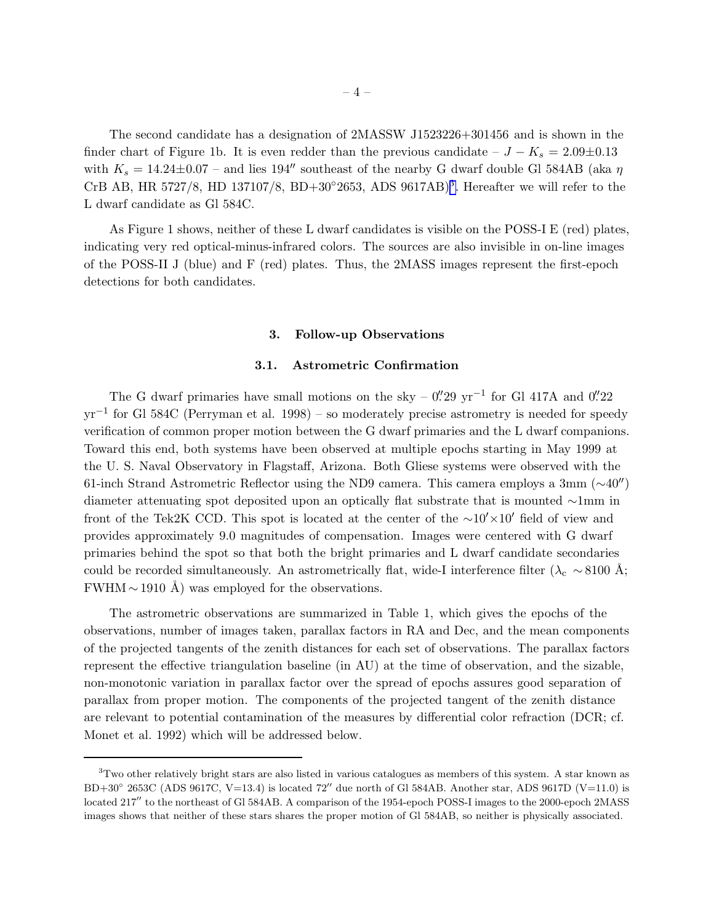The second candidate has a designation of 2MASSW J1523226+301456 and is shown in the finder chart of Figure 1b. It is even redder than the previous candidate –  $J - K_s = 2.09 \pm 0.13$ with  $K_s = 14.24 \pm 0.07$  – and lies 194″ southeast of the nearby G dwarf double Gl 584AB (aka  $\eta$ CrB AB, HR 5727/8, HD 137107/8, BD+30◦2653, ADS 9617AB)<sup>3</sup> . Hereafter we will refer to the L dwarf candidate as Gl 584C.

As Figure 1 shows, neither of these L dwarf candidates is visible on the POSS-I E (red) plates, indicating very red optical-minus-infrared colors. The sources are also invisible in on-line images of the POSS-II J (blue) and F (red) plates. Thus, the 2MASS images represent the first-epoch detections for both candidates.

#### 3. Follow-up Observations

# 3.1. Astrometric Confirmation

The G dwarf primaries have small motions on the sky –  $0.^{\prime\prime}29$  yr<sup>-1</sup> for Gl 417A and  $0.^{\prime\prime}22$ yr−<sup>1</sup> for Gl 584C (Perryman et al. 1998) – so moderately precise astrometry is needed for speedy verification of common proper motion between the G dwarf primaries and the L dwarf companions. Toward this end, both systems have been observed at multiple epochs starting in May 1999 at the U. S. Naval Observatory in Flagstaff, Arizona. Both Gliese systems were observed with the 61-inch Strand Astrometric Reflector using the ND9 camera. This camera employs a 3mm (∼40′′) diameter attenuating spot deposited upon an optically flat substrate that is mounted ∼1mm in front of the Tek2K CCD. This spot is located at the center of the ∼10′×10′ field of view and provides approximately 9.0 magnitudes of compensation. Images were centered with G dwarf primaries behind the spot so that both the bright primaries and L dwarf candidate secondaries could be recorded simultaneously. An astrometrically flat, wide-I interference filter ( $\lambda_c \sim 8100 \text{ Å}$ ;  $FWHM \sim 1910$  Å) was employed for the observations.

The astrometric observations are summarized in Table 1, which gives the epochs of the observations, number of images taken, parallax factors in RA and Dec, and the mean components of the projected tangents of the zenith distances for each set of observations. The parallax factors represent the effective triangulation baseline (in AU) at the time of observation, and the sizable, non-monotonic variation in parallax factor over the spread of epochs assures good separation of parallax from proper motion. The components of the projected tangent of the zenith distance are relevant to potential contamination of the measures by differential color refraction (DCR; cf. Monet et al. 1992) which will be addressed below.

<sup>3</sup>Two other relatively bright stars are also listed in various catalogues as members of this system. A star known as  $BD+30°$  2653C (ADS 9617C, V=13.4) is located 72″ due north of Gl 584AB. Another star, ADS 9617D (V=11.0) is located 217′′ to the northeast of Gl 584AB. A comparison of the 1954-epoch POSS-I images to the 2000-epoch 2MASS images shows that neither of these stars shares the proper motion of Gl 584AB, so neither is physically associated.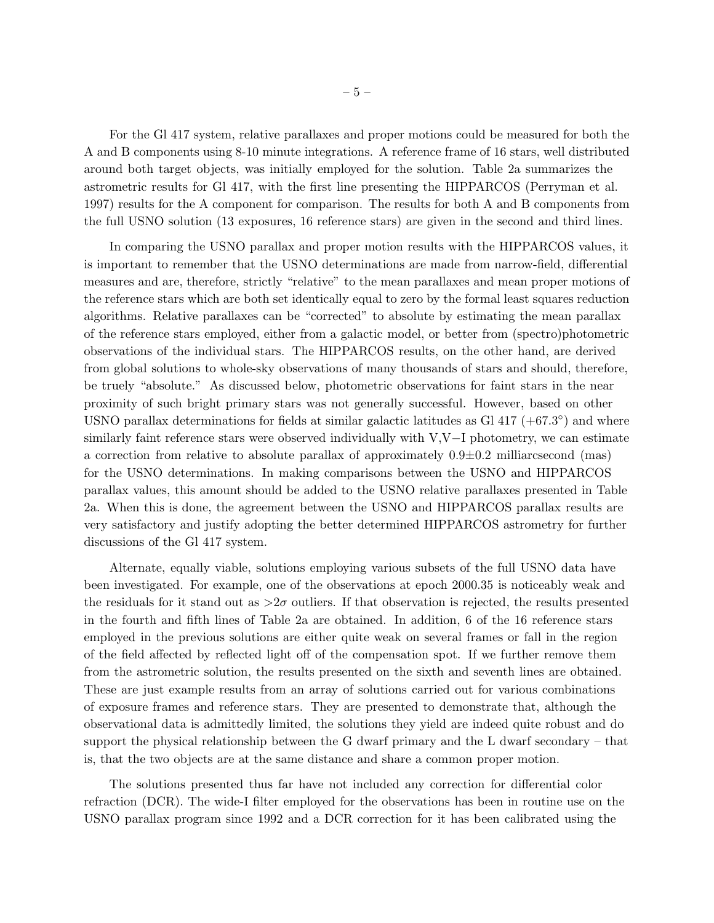For the Gl 417 system, relative parallaxes and proper motions could be measured for both the A and B components using 8-10 minute integrations. A reference frame of 16 stars, well distributed around both target objects, was initially employed for the solution. Table 2a summarizes the astrometric results for Gl 417, with the first line presenting the HIPPARCOS (Perryman et al. 1997) results for the A component for comparison. The results for both A and B components from the full USNO solution (13 exposures, 16 reference stars) are given in the second and third lines.

In comparing the USNO parallax and proper motion results with the HIPPARCOS values, it is important to remember that the USNO determinations are made from narrow-field, differential measures and are, therefore, strictly "relative" to the mean parallaxes and mean proper motions of the reference stars which are both set identically equal to zero by the formal least squares reduction algorithms. Relative parallaxes can be "corrected" to absolute by estimating the mean parallax of the reference stars employed, either from a galactic model, or better from (spectro)photometric observations of the individual stars. The HIPPARCOS results, on the other hand, are derived from global solutions to whole-sky observations of many thousands of stars and should, therefore, be truely "absolute." As discussed below, photometric observations for faint stars in the near proximity of such bright primary stars was not generally successful. However, based on other USNO parallax determinations for fields at similar galactic latitudes as Gl  $417 (+67.3°)$  and where similarly faint reference stars were observed individually with V,V−I photometry, we can estimate a correction from relative to absolute parallax of approximately  $0.9\pm0.2$  milliarcsecond (mas) for the USNO determinations. In making comparisons between the USNO and HIPPARCOS parallax values, this amount should be added to the USNO relative parallaxes presented in Table 2a. When this is done, the agreement between the USNO and HIPPARCOS parallax results are very satisfactory and justify adopting the better determined HIPPARCOS astrometry for further discussions of the Gl 417 system.

Alternate, equally viable, solutions employing various subsets of the full USNO data have been investigated. For example, one of the observations at epoch 2000.35 is noticeably weak and the residuals for it stand out as  $>2\sigma$  outliers. If that observation is rejected, the results presented in the fourth and fifth lines of Table 2a are obtained. In addition, 6 of the 16 reference stars employed in the previous solutions are either quite weak on several frames or fall in the region of the field affected by reflected light off of the compensation spot. If we further remove them from the astrometric solution, the results presented on the sixth and seventh lines are obtained. These are just example results from an array of solutions carried out for various combinations of exposure frames and reference stars. They are presented to demonstrate that, although the observational data is admittedly limited, the solutions they yield are indeed quite robust and do support the physical relationship between the G dwarf primary and the L dwarf secondary – that is, that the two objects are at the same distance and share a common proper motion.

The solutions presented thus far have not included any correction for differential color refraction (DCR). The wide-I filter employed for the observations has been in routine use on the USNO parallax program since 1992 and a DCR correction for it has been calibrated using the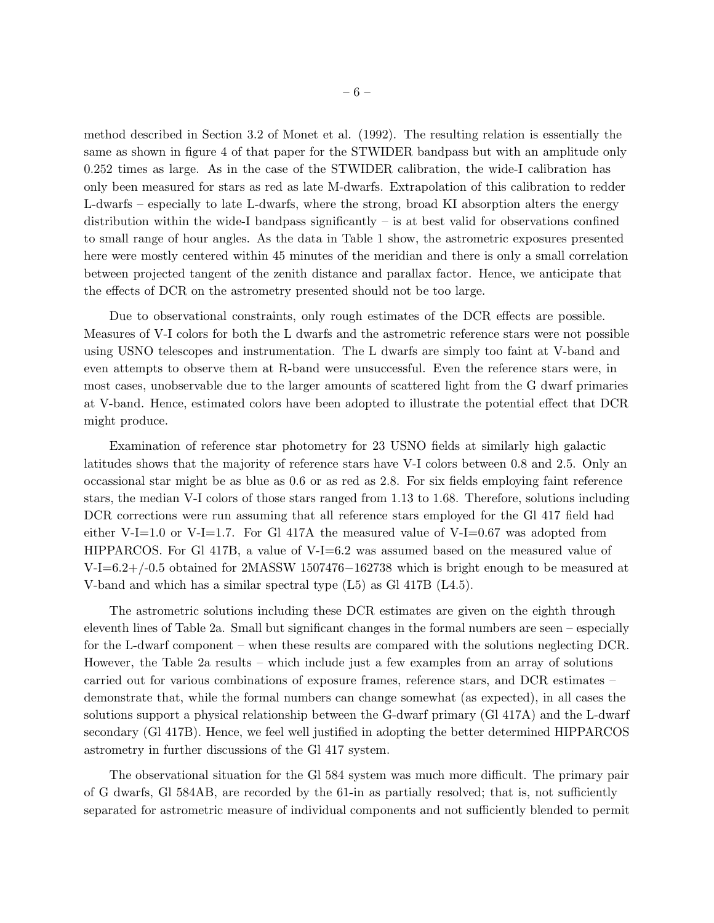method described in Section 3.2 of Monet et al. (1992). The resulting relation is essentially the same as shown in figure 4 of that paper for the STWIDER bandpass but with an amplitude only 0.252 times as large. As in the case of the STWIDER calibration, the wide-I calibration has only been measured for stars as red as late M-dwarfs. Extrapolation of this calibration to redder L-dwarfs – especially to late L-dwarfs, where the strong, broad KI absorption alters the energy distribution within the wide-I bandpass significantly  $-$  is at best valid for observations confined to small range of hour angles. As the data in Table 1 show, the astrometric exposures presented here were mostly centered within 45 minutes of the meridian and there is only a small correlation between projected tangent of the zenith distance and parallax factor. Hence, we anticipate that the effects of DCR on the astrometry presented should not be too large.

Due to observational constraints, only rough estimates of the DCR effects are possible. Measures of V-I colors for both the L dwarfs and the astrometric reference stars were not possible using USNO telescopes and instrumentation. The L dwarfs are simply too faint at V-band and even attempts to observe them at R-band were unsuccessful. Even the reference stars were, in most cases, unobservable due to the larger amounts of scattered light from the G dwarf primaries at V-band. Hence, estimated colors have been adopted to illustrate the potential effect that DCR might produce.

Examination of reference star photometry for 23 USNO fields at similarly high galactic latitudes shows that the majority of reference stars have V-I colors between 0.8 and 2.5. Only an occassional star might be as blue as 0.6 or as red as 2.8. For six fields employing faint reference stars, the median V-I colors of those stars ranged from 1.13 to 1.68. Therefore, solutions including DCR corrections were run assuming that all reference stars employed for the Gl 417 field had either V-I=1.0 or V-I=1.7. For Gl 417A the measured value of V-I=0.67 was adopted from HIPPARCOS. For Gl 417B, a value of V-I=6.2 was assumed based on the measured value of V-I=6.2+/-0.5 obtained for 2MASSW 1507476−162738 which is bright enough to be measured at V-band and which has a similar spectral type (L5) as Gl 417B (L4.5).

The astrometric solutions including these DCR estimates are given on the eighth through eleventh lines of Table 2a. Small but significant changes in the formal numbers are seen – especially for the L-dwarf component – when these results are compared with the solutions neglecting DCR. However, the Table 2a results – which include just a few examples from an array of solutions carried out for various combinations of exposure frames, reference stars, and DCR estimates – demonstrate that, while the formal numbers can change somewhat (as expected), in all cases the solutions support a physical relationship between the G-dwarf primary (Gl 417A) and the L-dwarf secondary (Gl 417B). Hence, we feel well justified in adopting the better determined HIPPARCOS astrometry in further discussions of the Gl 417 system.

The observational situation for the Gl 584 system was much more difficult. The primary pair of G dwarfs, Gl 584AB, are recorded by the 61-in as partially resolved; that is, not sufficiently separated for astrometric measure of individual components and not sufficiently blended to permit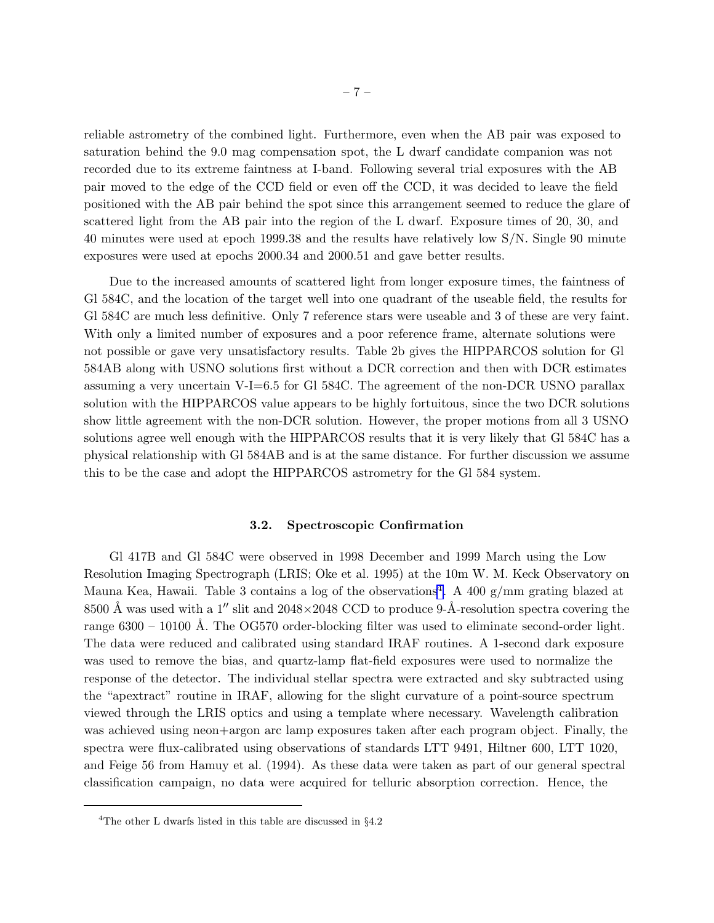reliable astrometry of the combined light. Furthermore, even when the AB pair was exposed to saturation behind the 9.0 mag compensation spot, the L dwarf candidate companion was not recorded due to its extreme faintness at I-band. Following several trial exposures with the AB pair moved to the edge of the CCD field or even off the CCD, it was decided to leave the field positioned with the AB pair behind the spot since this arrangement seemed to reduce the glare of scattered light from the AB pair into the region of the L dwarf. Exposure times of 20, 30, and 40 minutes were used at epoch 1999.38 and the results have relatively low S/N. Single 90 minute exposures were used at epochs 2000.34 and 2000.51 and gave better results.

Due to the increased amounts of scattered light from longer exposure times, the faintness of Gl 584C, and the location of the target well into one quadrant of the useable field, the results for Gl 584C are much less definitive. Only 7 reference stars were useable and 3 of these are very faint. With only a limited number of exposures and a poor reference frame, alternate solutions were not possible or gave very unsatisfactory results. Table 2b gives the HIPPARCOS solution for Gl 584AB along with USNO solutions first without a DCR correction and then with DCR estimates assuming a very uncertain V-I=6.5 for Gl 584C. The agreement of the non-DCR USNO parallax solution with the HIPPARCOS value appears to be highly fortuitous, since the two DCR solutions show little agreement with the non-DCR solution. However, the proper motions from all 3 USNO solutions agree well enough with the HIPPARCOS results that it is very likely that Gl 584C has a physical relationship with Gl 584AB and is at the same distance. For further discussion we assume this to be the case and adopt the HIPPARCOS astrometry for the Gl 584 system.

## 3.2. Spectroscopic Confirmation

Gl 417B and Gl 584C were observed in 1998 December and 1999 March using the Low Resolution Imaging Spectrograph (LRIS; Oke et al. 1995) at the 10m W. M. Keck Observatory on Mauna Kea, Hawaii. Table 3 contains a log of the observations<sup>4</sup>. A 400  $g/mm$  grating blazed at 8500 Å was used with a 1<sup>"</sup> slit and  $2048\times2048$  CCD to produce 9-Å-resolution spectra covering the range  $6300 - 10100$  Å. The OG570 order-blocking filter was used to eliminate second-order light. The data were reduced and calibrated using standard IRAF routines. A 1-second dark exposure was used to remove the bias, and quartz-lamp flat-field exposures were used to normalize the response of the detector. The individual stellar spectra were extracted and sky subtracted using the "apextract" routine in IRAF, allowing for the slight curvature of a point-source spectrum viewed through the LRIS optics and using a template where necessary. Wavelength calibration was achieved using neon+argon arc lamp exposures taken after each program object. Finally, the spectra were flux-calibrated using observations of standards LTT 9491, Hiltner 600, LTT 1020, and Feige 56 from Hamuy et al. (1994). As these data were taken as part of our general spectral classification campaign, no data were acquired for telluric absorption correction. Hence, the

<sup>&</sup>lt;sup>4</sup>The other L dwarfs listed in this table are discussed in  $\S 4.2$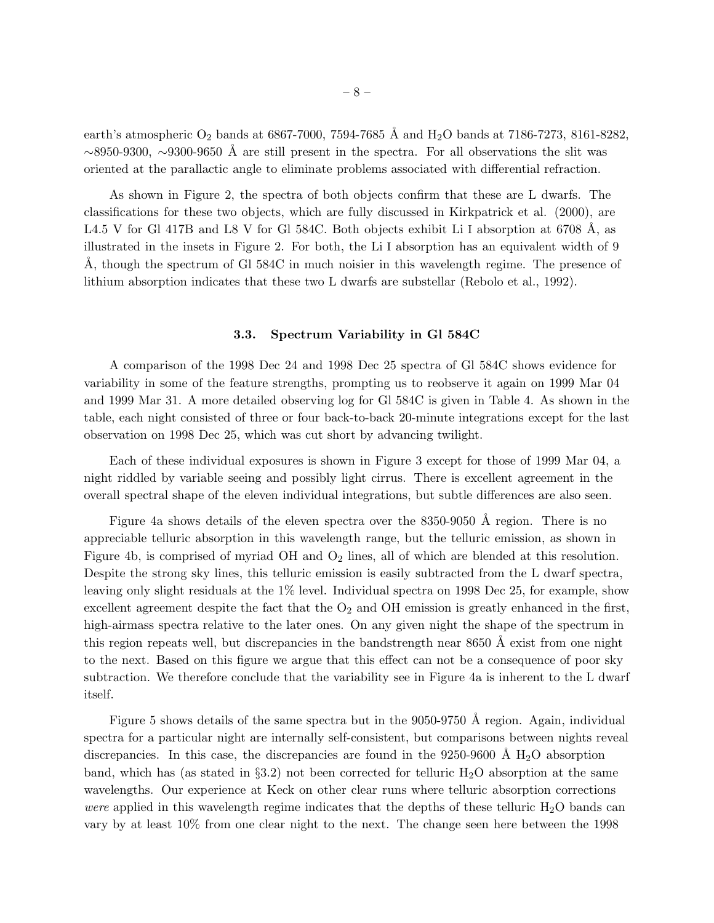earth's atmospheric  $O_2$  bands at 6867-7000, 7594-7685 Å and  $H_2O$  bands at 7186-7273, 8161-8282,  $~\sim$ 8950-9300,  $~\sim$ 9300-9650 Å are still present in the spectra. For all observations the slit was oriented at the parallactic angle to eliminate problems associated with differential refraction.

As shown in Figure 2, the spectra of both objects confirm that these are L dwarfs. The classifications for these two objects, which are fully discussed in Kirkpatrick et al. (2000), are L4.5 V for Gl 417B and L8 V for Gl 584C. Both objects exhibit Li I absorption at 6708  $\AA$ , as illustrated in the insets in Figure 2. For both, the Li I absorption has an equivalent width of 9 A, though the spectrum of Gl 584C in much noisier in this wavelength regime. The presence of lithium absorption indicates that these two L dwarfs are substellar (Rebolo et al., 1992).

#### 3.3. Spectrum Variability in Gl 584C

A comparison of the 1998 Dec 24 and 1998 Dec 25 spectra of Gl 584C shows evidence for variability in some of the feature strengths, prompting us to reobserve it again on 1999 Mar 04 and 1999 Mar 31. A more detailed observing log for Gl 584C is given in Table 4. As shown in the table, each night consisted of three or four back-to-back 20-minute integrations except for the last observation on 1998 Dec 25, which was cut short by advancing twilight.

Each of these individual exposures is shown in Figure 3 except for those of 1999 Mar 04, a night riddled by variable seeing and possibly light cirrus. There is excellent agreement in the overall spectral shape of the eleven individual integrations, but subtle differences are also seen.

Figure 4a shows details of the eleven spectra over the  $8350-9050$  Å region. There is no appreciable telluric absorption in this wavelength range, but the telluric emission, as shown in Figure 4b, is comprised of myriad OH and  $O_2$  lines, all of which are blended at this resolution. Despite the strong sky lines, this telluric emission is easily subtracted from the L dwarf spectra, leaving only slight residuals at the 1% level. Individual spectra on 1998 Dec 25, for example, show excellent agreement despite the fact that the  $O_2$  and OH emission is greatly enhanced in the first, high-airmass spectra relative to the later ones. On any given night the shape of the spectrum in this region repeats well, but discrepancies in the bandstrength near  $8650 \text{ Å}$  exist from one night to the next. Based on this figure we argue that this effect can not be a consequence of poor sky subtraction. We therefore conclude that the variability see in Figure 4a is inherent to the L dwarf itself.

Figure 5 shows details of the same spectra but in the 9050-9750 Å region. Again, individual spectra for a particular night are internally self-consistent, but comparisons between nights reveal discrepancies. In this case, the discrepancies are found in the  $9250-9600$  Å  $H<sub>2</sub>O$  absorption band, which has (as stated in  $\S 3.2$ ) not been corrected for telluric  $H_2O$  absorption at the same wavelengths. Our experience at Keck on other clear runs where telluric absorption corrections *were* applied in this wavelength regime indicates that the depths of these telluric  $H_2O$  bands can vary by at least 10% from one clear night to the next. The change seen here between the 1998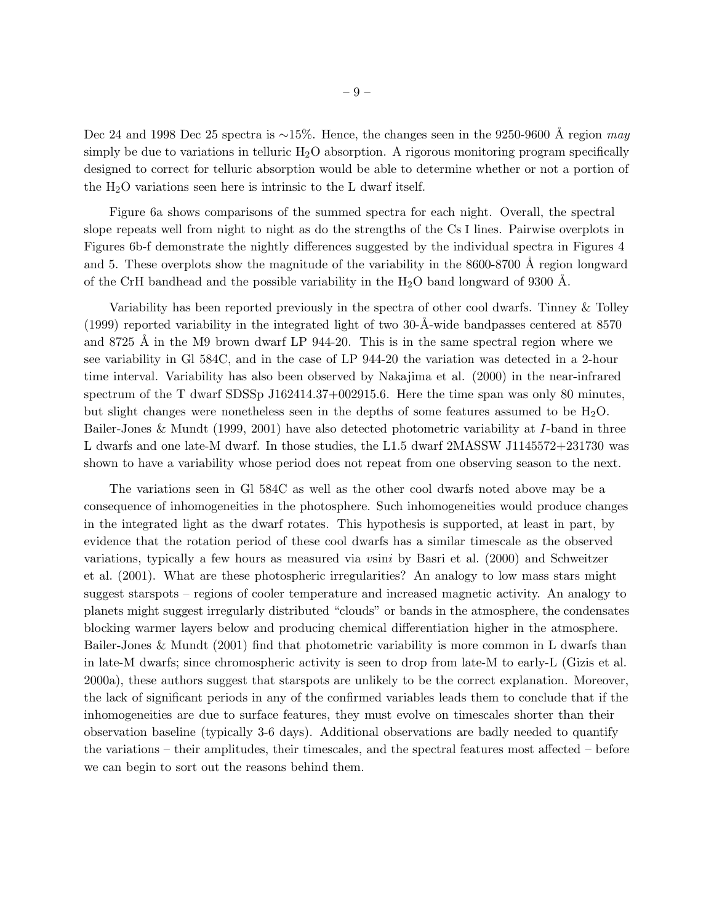Dec 24 and 1998 Dec 25 spectra is ~15%. Hence, the changes seen in the 9250-9600 Å region *may* simply be due to variations in telluric  $H_2O$  absorption. A rigorous monitoring program specifically designed to correct for telluric absorption would be able to determine whether or not a portion of the  $H_2O$  variations seen here is intrinsic to the L dwarf itself.

Figure 6a shows comparisons of the summed spectra for each night. Overall, the spectral slope repeats well from night to night as do the strengths of the Cs I lines. Pairwise overplots in Figures 6b-f demonstrate the nightly differences suggested by the individual spectra in Figures 4 and 5. These overplots show the magnitude of the variability in the  $8600-8700$  Å region longward of the CrH bandhead and the possible variability in the  $H_2O$  band longward of 9300 Å.

Variability has been reported previously in the spectra of other cool dwarfs. Tinney & Tolley  $(1999)$  reported variability in the integrated light of two 30-Å-wide bandpasses centered at 8570 and 8725 Å in the M9 brown dwarf LP 944-20. This is in the same spectral region where we see variability in Gl 584C, and in the case of LP 944-20 the variation was detected in a 2-hour time interval. Variability has also been observed by Nakajima et al. (2000) in the near-infrared spectrum of the T dwarf SDSSp J162414.37+002915.6. Here the time span was only 80 minutes, but slight changes were nonetheless seen in the depths of some features assumed to be  $H_2O$ . Bailer-Jones & Mundt (1999, 2001) have also detected photometric variability at I-band in three L dwarfs and one late-M dwarf. In those studies, the L1.5 dwarf 2MASSW J1145572+231730 was shown to have a variability whose period does not repeat from one observing season to the next.

The variations seen in Gl 584C as well as the other cool dwarfs noted above may be a consequence of inhomogeneities in the photosphere. Such inhomogeneities would produce changes in the integrated light as the dwarf rotates. This hypothesis is supported, at least in part, by evidence that the rotation period of these cool dwarfs has a similar timescale as the observed variations, typically a few hours as measured via vsini by Basri et al. (2000) and Schweitzer et al. (2001). What are these photospheric irregularities? An analogy to low mass stars might suggest starspots – regions of cooler temperature and increased magnetic activity. An analogy to planets might suggest irregularly distributed "clouds" or bands in the atmosphere, the condensates blocking warmer layers below and producing chemical differentiation higher in the atmosphere. Bailer-Jones & Mundt (2001) find that photometric variability is more common in L dwarfs than in late-M dwarfs; since chromospheric activity is seen to drop from late-M to early-L (Gizis et al. 2000a), these authors suggest that starspots are unlikely to be the correct explanation. Moreover, the lack of significant periods in any of the confirmed variables leads them to conclude that if the inhomogeneities are due to surface features, they must evolve on timescales shorter than their observation baseline (typically 3-6 days). Additional observations are badly needed to quantify the variations – their amplitudes, their timescales, and the spectral features most affected – before we can begin to sort out the reasons behind them.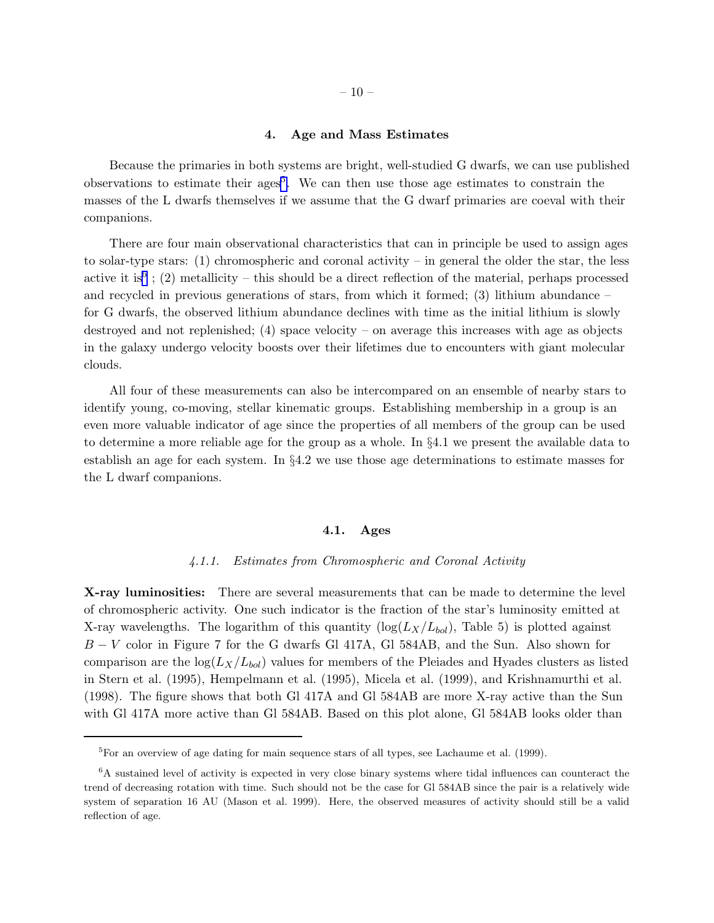## 4. Age and Mass Estimates

Because the primaries in both systems are bright, well-studied G dwarfs, we can use published observations to estimate their ages<sup>5</sup>. We can then use those age estimates to constrain the masses of the L dwarfs themselves if we assume that the G dwarf primaries are coeval with their companions.

There are four main observational characteristics that can in principle be used to assign ages to solar-type stars: (1) chromospheric and coronal activity – in general the older the star, the less active it is<sup>6</sup>; (2) metallicity – this should be a direct reflection of the material, perhaps processed and recycled in previous generations of stars, from which it formed; (3) lithium abundance – for G dwarfs, the observed lithium abundance declines with time as the initial lithium is slowly destroyed and not replenished; (4) space velocity – on average this increases with age as objects in the galaxy undergo velocity boosts over their lifetimes due to encounters with giant molecular clouds.

All four of these measurements can also be intercompared on an ensemble of nearby stars to identify young, co-moving, stellar kinematic groups. Establishing membership in a group is an even more valuable indicator of age since the properties of all members of the group can be used to determine a more reliable age for the group as a whole. In §4.1 we present the available data to establish an age for each system. In §4.2 we use those age determinations to estimate masses for the L dwarf companions.

## 4.1. Ages

#### *4.1.1. Estimates from Chromospheric and Coronal Activity*

X-ray luminosities: There are several measurements that can be made to determine the level of chromospheric activity. One such indicator is the fraction of the star's luminosity emitted at X-ray wavelengths. The logarithm of this quantity ( $log(L_X/L_{bol})$ , Table 5) is plotted against B − V color in Figure 7 for the G dwarfs Gl 417A, Gl 584AB, and the Sun. Also shown for comparison are the  $log(L_X/L_{bol})$  values for members of the Pleiades and Hyades clusters as listed in Stern et al. (1995), Hempelmann et al. (1995), Micela et al. (1999), and Krishnamurthi et al. (1998). The figure shows that both Gl 417A and Gl 584AB are more X-ray active than the Sun with Gl 417A more active than Gl 584AB. Based on this plot alone, Gl 584AB looks older than

<sup>&</sup>lt;sup>5</sup>For an overview of age dating for main sequence stars of all types, see Lachaume et al. (1999).

<sup>&</sup>lt;sup>6</sup>A sustained level of activity is expected in very close binary systems where tidal influences can counteract the trend of decreasing rotation with time. Such should not be the case for Gl 584AB since the pair is a relatively wide system of separation 16 AU (Mason et al. 1999). Here, the observed measures of activity should still be a valid reflection of age.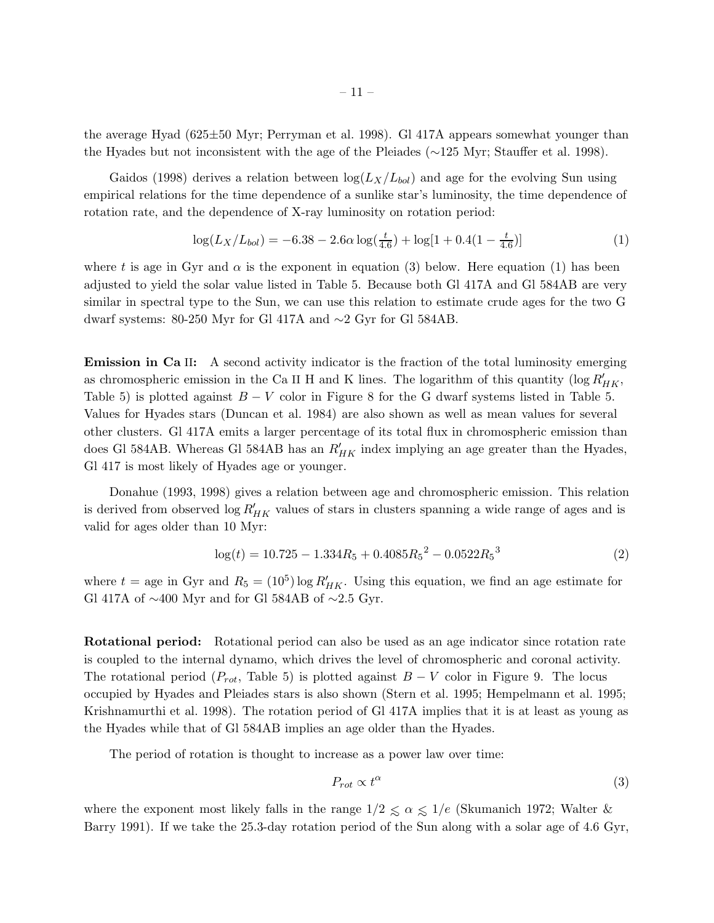the average Hyad (625±50 Myr; Perryman et al. 1998). Gl 417A appears somewhat younger than the Hyades but not inconsistent with the age of the Pleiades (∼125 Myr; Stauffer et al. 1998).

Gaidos (1998) derives a relation between  $\log(L_X/L_{bol})$  and age for the evolving Sun using empirical relations for the time dependence of a sunlike star's luminosity, the time dependence of rotation rate, and the dependence of X-ray luminosity on rotation period:

$$
\log(L_X/L_{bol}) = -6.38 - 2.6\alpha \log(\frac{t}{4.6}) + \log[1 + 0.4(1 - \frac{t}{4.6})]
$$
\n(1)

where t is age in Gyr and  $\alpha$  is the exponent in equation (3) below. Here equation (1) has been adjusted to yield the solar value listed in Table 5. Because both Gl 417A and Gl 584AB are very similar in spectral type to the Sun, we can use this relation to estimate crude ages for the two G dwarf systems: 80-250 Myr for Gl 417A and ∼2 Gyr for Gl 584AB.

**Emission in Ca II:** A second activity indicator is the fraction of the total luminosity emerging as chromospheric emission in the Ca II H and K lines. The logarithm of this quantity ( $\log R'_{HK}$ , Table 5) is plotted against  $B - V$  color in Figure 8 for the G dwarf systems listed in Table 5. Values for Hyades stars (Duncan et al. 1984) are also shown as well as mean values for several other clusters. Gl 417A emits a larger percentage of its total flux in chromospheric emission than does Gl 584AB. Whereas Gl 584AB has an  $R'_{HK}$  index implying an age greater than the Hyades, Gl 417 is most likely of Hyades age or younger.

Donahue (1993, 1998) gives a relation between age and chromospheric emission. This relation is derived from observed  $\log R'_{HK}$  values of stars in clusters spanning a wide range of ages and is valid for ages older than 10 Myr:

$$
\log(t) = 10.725 - 1.334R_5 + 0.4085R_5^2 - 0.0522R_5^3 \tag{2}
$$

where  $t =$  age in Gyr and  $R_5 = (10^5) \log R'_{HK}$ . Using this equation, we find an age estimate for Gl 417A of ∼400 Myr and for Gl 584AB of ∼2.5 Gyr.

Rotational period: Rotational period can also be used as an age indicator since rotation rate is coupled to the internal dynamo, which drives the level of chromospheric and coronal activity. The rotational period ( $P_{rot}$ , Table 5) is plotted against  $B-V$  color in Figure 9. The locus occupied by Hyades and Pleiades stars is also shown (Stern et al. 1995; Hempelmann et al. 1995; Krishnamurthi et al. 1998). The rotation period of Gl 417A implies that it is at least as young as the Hyades while that of Gl 584AB implies an age older than the Hyades.

The period of rotation is thought to increase as a power law over time:

$$
P_{rot} \propto t^{\alpha} \tag{3}
$$

where the exponent most likely falls in the range  $1/2 \le \alpha \le 1/e$  (Skumanich 1972; Walter & Barry 1991). If we take the 25.3-day rotation period of the Sun along with a solar age of 4.6 Gyr,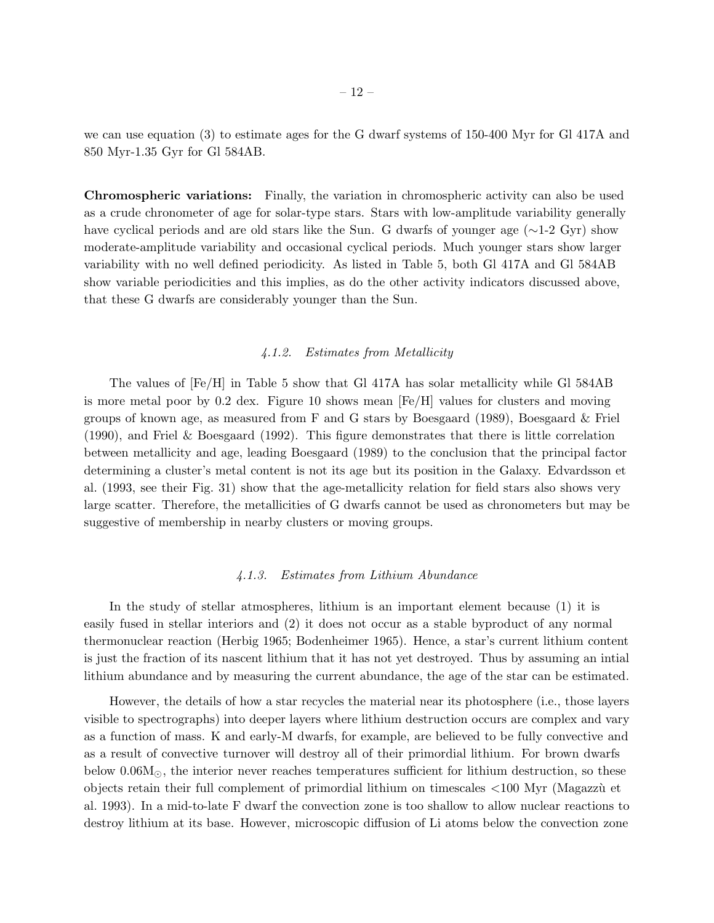we can use equation (3) to estimate ages for the G dwarf systems of 150-400 Myr for Gl 417A and 850 Myr-1.35 Gyr for Gl 584AB.

Chromospheric variations: Finally, the variation in chromospheric activity can also be used as a crude chronometer of age for solar-type stars. Stars with low-amplitude variability generally have cyclical periods and are old stars like the Sun. G dwarfs of younger age (∼1-2 Gyr) show moderate-amplitude variability and occasional cyclical periods. Much younger stars show larger variability with no well defined periodicity. As listed in Table 5, both Gl 417A and Gl 584AB show variable periodicities and this implies, as do the other activity indicators discussed above, that these G dwarfs are considerably younger than the Sun.

# *4.1.2. Estimates from Metallicity*

The values of [Fe/H] in Table 5 show that Gl 417A has solar metallicity while Gl 584AB is more metal poor by 0.2 dex. Figure 10 shows mean [Fe/H] values for clusters and moving groups of known age, as measured from F and G stars by Boesgaard (1989), Boesgaard & Friel (1990), and Friel & Boesgaard (1992). This figure demonstrates that there is little correlation between metallicity and age, leading Boesgaard (1989) to the conclusion that the principal factor determining a cluster's metal content is not its age but its position in the Galaxy. Edvardsson et al. (1993, see their Fig. 31) show that the age-metallicity relation for field stars also shows very large scatter. Therefore, the metallicities of G dwarfs cannot be used as chronometers but may be suggestive of membership in nearby clusters or moving groups.

# *4.1.3. Estimates from Lithium Abundance*

In the study of stellar atmospheres, lithium is an important element because (1) it is easily fused in stellar interiors and (2) it does not occur as a stable byproduct of any normal thermonuclear reaction (Herbig 1965; Bodenheimer 1965). Hence, a star's current lithium content is just the fraction of its nascent lithium that it has not yet destroyed. Thus by assuming an intial lithium abundance and by measuring the current abundance, the age of the star can be estimated.

However, the details of how a star recycles the material near its photosphere (i.e., those layers visible to spectrographs) into deeper layers where lithium destruction occurs are complex and vary as a function of mass. K and early-M dwarfs, for example, are believed to be fully convective and as a result of convective turnover will destroy all of their primordial lithium. For brown dwarfs below  $0.06M_{\odot}$ , the interior never reaches temperatures sufficient for lithium destruction, so these objects retain their full complement of primordial lithium on timescales <100 Myr (Magazz`u et al. 1993). In a mid-to-late F dwarf the convection zone is too shallow to allow nuclear reactions to destroy lithium at its base. However, microscopic diffusion of Li atoms below the convection zone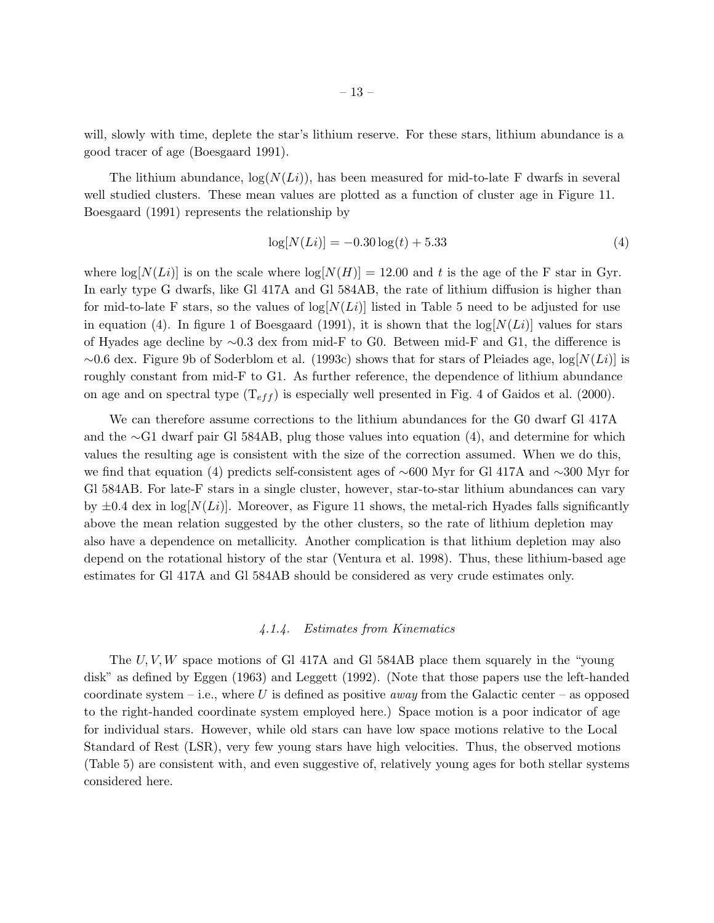will, slowly with time, deplete the star's lithium reserve. For these stars, lithium abundance is a good tracer of age (Boesgaard 1991).

The lithium abundance,  $log(N(L_i))$ , has been measured for mid-to-late F dwarfs in several well studied clusters. These mean values are plotted as a function of cluster age in Figure 11. Boesgaard (1991) represents the relationship by

$$
\log[N(Li)] = -0.30 \log(t) + 5.33\tag{4}
$$

where  $\log[N(L_i)]$  is on the scale where  $\log[N(H)] = 12.00$  and t is the age of the F star in Gyr. In early type G dwarfs, like Gl 417A and Gl 584AB, the rate of lithium diffusion is higher than for mid-to-late F stars, so the values of  $log[N(L_i)]$  listed in Table 5 need to be adjusted for use in equation (4). In figure 1 of Boesgaard (1991), it is shown that the  $log[N(L_i)]$  values for stars of Hyades age decline by ∼0.3 dex from mid-F to G0. Between mid-F and G1, the difference is  $\sim$ 0.6 dex. Figure 9b of Soderblom et al. (1993c) shows that for stars of Pleiades age,  $\log[N(L)]$  is roughly constant from mid-F to G1. As further reference, the dependence of lithium abundance on age and on spectral type  $(T_{eff})$  is especially well presented in Fig. 4 of Gaidos et al. (2000).

We can therefore assume corrections to the lithium abundances for the G0 dwarf Gl 417A and the ∼G1 dwarf pair Gl 584AB, plug those values into equation (4), and determine for which values the resulting age is consistent with the size of the correction assumed. When we do this, we find that equation (4) predicts self-consistent ages of ∼600 Myr for Gl 417A and ∼300 Myr for Gl 584AB. For late-F stars in a single cluster, however, star-to-star lithium abundances can vary by  $\pm 0.4$  dex in log[ $N(Li)$ ]. Moreover, as Figure 11 shows, the metal-rich Hyades falls significantly above the mean relation suggested by the other clusters, so the rate of lithium depletion may also have a dependence on metallicity. Another complication is that lithium depletion may also depend on the rotational history of the star (Ventura et al. 1998). Thus, these lithium-based age estimates for Gl 417A and Gl 584AB should be considered as very crude estimates only.

# *4.1.4. Estimates from Kinematics*

The  $U, V, W$  space motions of Gl 417A and Gl 584AB place them squarely in the "young" disk" as defined by Eggen (1963) and Leggett (1992). (Note that those papers use the left-handed coordinate system – i.e., where U is defined as positive *away* from the Galactic center – as opposed to the right-handed coordinate system employed here.) Space motion is a poor indicator of age for individual stars. However, while old stars can have low space motions relative to the Local Standard of Rest (LSR), very few young stars have high velocities. Thus, the observed motions (Table 5) are consistent with, and even suggestive of, relatively young ages for both stellar systems considered here.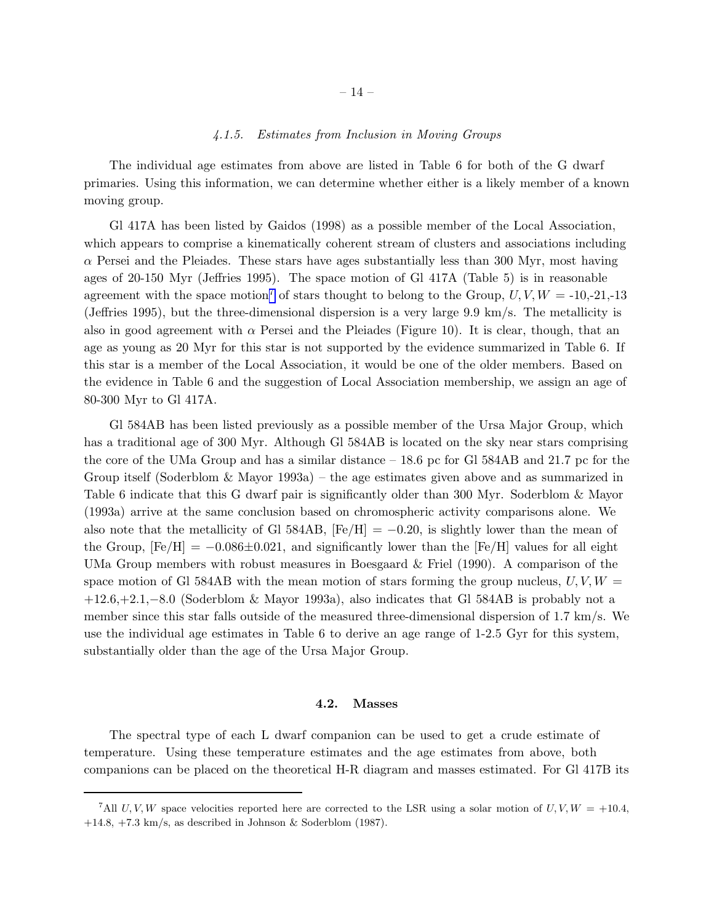## *4.1.5. Estimates from Inclusion in Moving Groups*

The individual age estimates from above are listed in Table 6 for both of the G dwarf primaries. Using this information, we can determine whether either is a likely member of a known moving group.

Gl 417A has been listed by Gaidos (1998) as a possible member of the Local Association, which appears to comprise a kinematically coherent stream of clusters and associations including  $\alpha$  Persei and the Pleiades. These stars have ages substantially less than 300 Myr, most having ages of 20-150 Myr (Jeffries 1995). The space motion of Gl 417A (Table 5) is in reasonable agreement with the space motion<sup>7</sup> of stars thought to belong to the Group,  $U, V, W = -10,-21,-13$ (Jeffries 1995), but the three-dimensional dispersion is a very large 9.9 km/s. The metallicity is also in good agreement with  $\alpha$  Persei and the Pleiades (Figure 10). It is clear, though, that an age as young as 20 Myr for this star is not supported by the evidence summarized in Table 6. If this star is a member of the Local Association, it would be one of the older members. Based on the evidence in Table 6 and the suggestion of Local Association membership, we assign an age of 80-300 Myr to Gl 417A.

Gl 584AB has been listed previously as a possible member of the Ursa Major Group, which has a traditional age of 300 Myr. Although Gl 584AB is located on the sky near stars comprising the core of the UMa Group and has a similar distance – 18.6 pc for Gl 584AB and 21.7 pc for the Group itself (Soderblom & Mayor 1993a) – the age estimates given above and as summarized in Table 6 indicate that this G dwarf pair is significantly older than 300 Myr. Soderblom & Mayor (1993a) arrive at the same conclusion based on chromospheric activity comparisons alone. We also note that the metallicity of Gl 584AB,  $[Fe/H] = -0.20$ , is slightly lower than the mean of the Group,  $[Fe/H] = -0.086 \pm 0.021$ , and significantly lower than the  $[Fe/H]$  values for all eight UMa Group members with robust measures in Boesgaard & Friel (1990). A comparison of the space motion of Gl 584AB with the mean motion of stars forming the group nucleus,  $U, V, W =$ +12.6,+2.1,−8.0 (Soderblom & Mayor 1993a), also indicates that Gl 584AB is probably not a member since this star falls outside of the measured three-dimensional dispersion of 1.7 km/s. We use the individual age estimates in Table 6 to derive an age range of 1-2.5 Gyr for this system, substantially older than the age of the Ursa Major Group.

#### 4.2. Masses

The spectral type of each L dwarf companion can be used to get a crude estimate of temperature. Using these temperature estimates and the age estimates from above, both companions can be placed on the theoretical H-R diagram and masses estimated. For Gl 417B its

<sup>&</sup>lt;sup>7</sup>All U, V, W space velocities reported here are corrected to the LSR using a solar motion of U, V,  $W = +10.4$ , +14.8, +7.3 km/s, as described in Johnson & Soderblom (1987).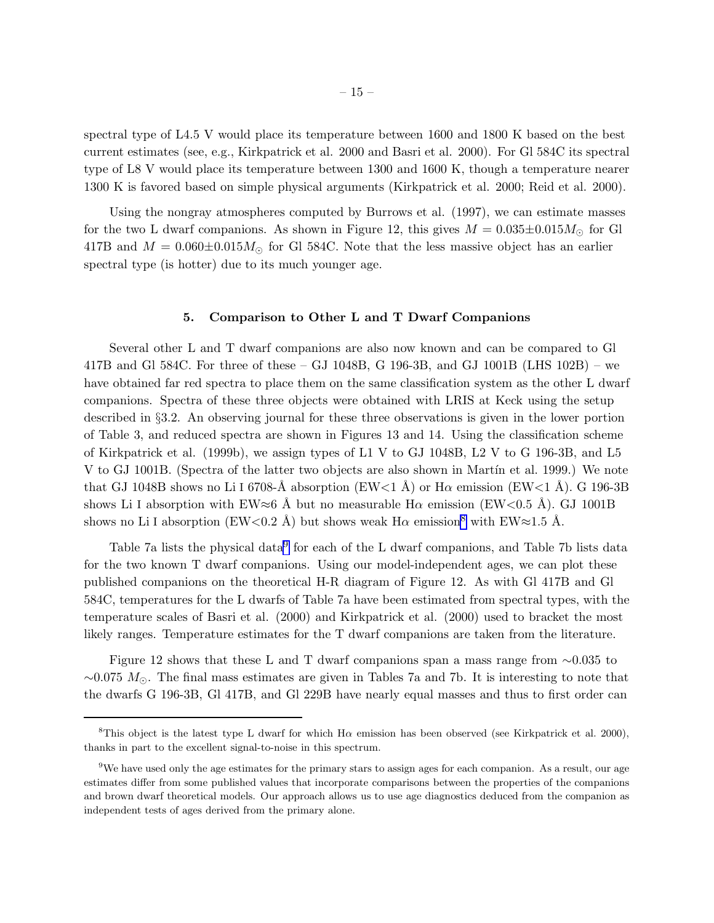spectral type of L4.5 V would place its temperature between 1600 and 1800 K based on the best current estimates (see, e.g., Kirkpatrick et al. 2000 and Basri et al. 2000). For Gl 584C its spectral type of L8 V would place its temperature between 1300 and 1600 K, though a temperature nearer 1300 K is favored based on simple physical arguments (Kirkpatrick et al. 2000; Reid et al. 2000).

Using the nongray atmospheres computed by Burrows et al. (1997), we can estimate masses for the two L dwarf companions. As shown in Figure 12, this gives  $M = 0.035 \pm 0.015 M_{\odot}$  for Gl 417B and  $M = 0.060 \pm 0.015 M_{\odot}$  for Gl 584C. Note that the less massive object has an earlier spectral type (is hotter) due to its much younger age.

## 5. Comparison to Other L and T Dwarf Companions

Several other L and T dwarf companions are also now known and can be compared to Gl 417B and Gl 584C. For three of these – GJ 1048B, G 196-3B, and GJ 1001B (LHS 102B) – we have obtained far red spectra to place them on the same classification system as the other L dwarf companions. Spectra of these three objects were obtained with LRIS at Keck using the setup described in §3.2. An observing journal for these three observations is given in the lower portion of Table 3, and reduced spectra are shown in Figures 13 and 14. Using the classification scheme of Kirkpatrick et al. (1999b), we assign types of L1 V to GJ 1048B, L2 V to G 196-3B, and L5 V to GJ 1001B. (Spectra of the latter two objects are also shown in Martin et al. 1999.) We note that GJ 1048B shows no Li I 6708-Å absorption (EW<1 Å) or H $\alpha$  emission (EW<1 Å). G 196-3B shows Li I absorption with EW≈6 Å but no measurable H $\alpha$  emission (EW<0.5 Å). GJ 1001B shows no Li I absorption (EW<0.2 Å) but shows weak  $H\alpha$  emission<sup>8</sup> with EW≈1.5 Å.

Table 7a lists the physical data<sup>9</sup> for each of the L dwarf companions, and Table 7b lists data for the two known T dwarf companions. Using our model-independent ages, we can plot these published companions on the theoretical H-R diagram of Figure 12. As with Gl 417B and Gl 584C, temperatures for the L dwarfs of Table 7a have been estimated from spectral types, with the temperature scales of Basri et al. (2000) and Kirkpatrick et al. (2000) used to bracket the most likely ranges. Temperature estimates for the T dwarf companions are taken from the literature.

Figure 12 shows that these L and T dwarf companions span a mass range from  $\sim$ 0.035 to  $\sim$ 0.075  $M_{\odot}$ . The final mass estimates are given in Tables 7a and 7b. It is interesting to note that the dwarfs G 196-3B, Gl 417B, and Gl 229B have nearly equal masses and thus to first order can

<sup>&</sup>lt;sup>8</sup>This object is the latest type L dwarf for which H $\alpha$  emission has been observed (see Kirkpatrick et al. 2000), thanks in part to the excellent signal-to-noise in this spectrum.

<sup>9</sup>We have used only the age estimates for the primary stars to assign ages for each companion. As a result, our age estimates differ from some published values that incorporate comparisons between the properties of the companions and brown dwarf theoretical models. Our approach allows us to use age diagnostics deduced from the companion as independent tests of ages derived from the primary alone.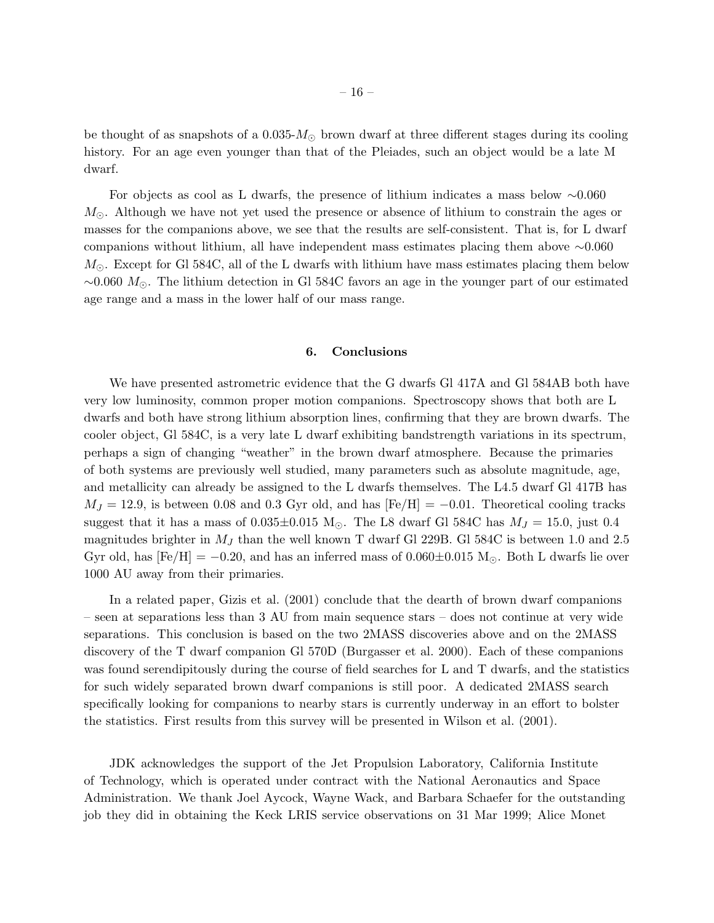be thought of as snapshots of a  $0.035-M<sub>o</sub>$  brown dwarf at three different stages during its cooling history. For an age even younger than that of the Pleiades, such an object would be a late M dwarf.

For objects as cool as L dwarfs, the presence of lithium indicates a mass below ∼0.060  $M_{\odot}$ . Although we have not yet used the presence or absence of lithium to constrain the ages or masses for the companions above, we see that the results are self-consistent. That is, for L dwarf companions without lithium, all have independent mass estimates placing them above ∼0.060  $M_{\odot}$ . Except for Gl 584C, all of the L dwarfs with lithium have mass estimates placing them below  $\sim$ 0.060  $M_{\odot}$ . The lithium detection in Gl 584C favors an age in the younger part of our estimated age range and a mass in the lower half of our mass range.

## 6. Conclusions

We have presented astrometric evidence that the G dwarfs Gl 417A and Gl 584AB both have very low luminosity, common proper motion companions. Spectroscopy shows that both are L dwarfs and both have strong lithium absorption lines, confirming that they are brown dwarfs. The cooler object, Gl 584C, is a very late L dwarf exhibiting bandstrength variations in its spectrum, perhaps a sign of changing "weather" in the brown dwarf atmosphere. Because the primaries of both systems are previously well studied, many parameters such as absolute magnitude, age, and metallicity can already be assigned to the L dwarfs themselves. The L4.5 dwarf Gl 417B has  $M_J = 12.9$ , is between 0.08 and 0.3 Gyr old, and has  $[Fe/H] = -0.01$ . Theoretical cooling tracks suggest that it has a mass of  $0.035\pm0.015$  M<sub>☉</sub>. The L8 dwarf Gl 584C has  $M_J = 15.0$ , just 0.4 magnitudes brighter in  $M_J$  than the well known T dwarf Gl 229B. Gl 584C is between 1.0 and 2.5 Gyr old, has  $[Fe/H] = -0.20$ , and has an inferred mass of  $0.060 \pm 0.015$  M<sub>O</sub>. Both L dwarfs lie over 1000 AU away from their primaries.

In a related paper, Gizis et al. (2001) conclude that the dearth of brown dwarf companions – seen at separations less than 3 AU from main sequence stars – does not continue at very wide separations. This conclusion is based on the two 2MASS discoveries above and on the 2MASS discovery of the T dwarf companion Gl 570D (Burgasser et al. 2000). Each of these companions was found serendipitously during the course of field searches for L and T dwarfs, and the statistics for such widely separated brown dwarf companions is still poor. A dedicated 2MASS search specifically looking for companions to nearby stars is currently underway in an effort to bolster the statistics. First results from this survey will be presented in Wilson et al. (2001).

JDK acknowledges the support of the Jet Propulsion Laboratory, California Institute of Technology, which is operated under contract with the National Aeronautics and Space Administration. We thank Joel Aycock, Wayne Wack, and Barbara Schaefer for the outstanding job they did in obtaining the Keck LRIS service observations on 31 Mar 1999; Alice Monet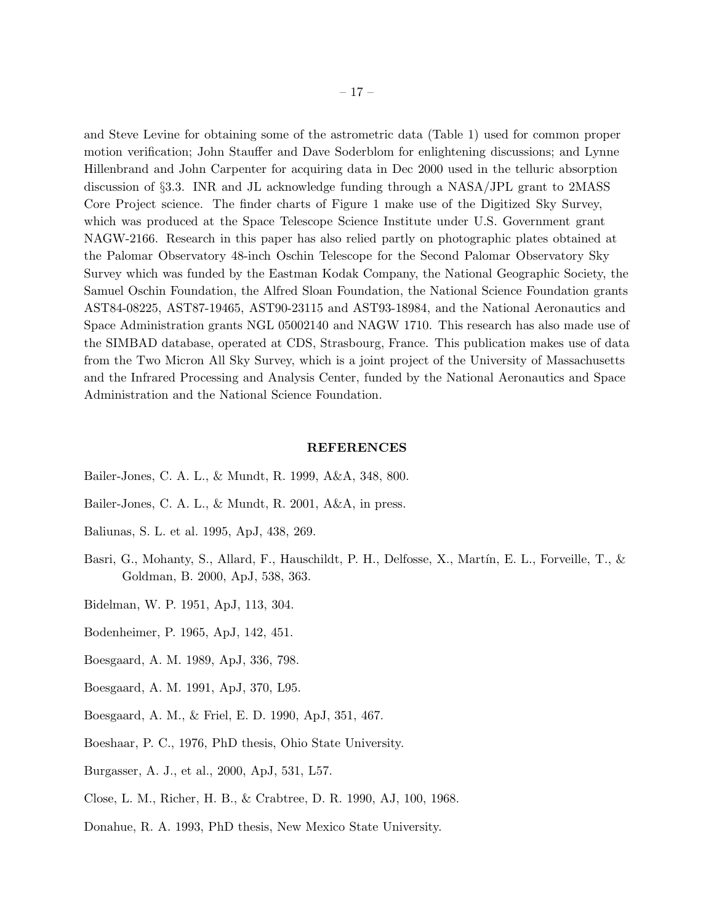and Steve Levine for obtaining some of the astrometric data (Table 1) used for common proper motion verification; John Stauffer and Dave Soderblom for enlightening discussions; and Lynne Hillenbrand and John Carpenter for acquiring data in Dec 2000 used in the telluric absorption discussion of §3.3. INR and JL acknowledge funding through a NASA/JPL grant to 2MASS Core Project science. The finder charts of Figure 1 make use of the Digitized Sky Survey, which was produced at the Space Telescope Science Institute under U.S. Government grant NAGW-2166. Research in this paper has also relied partly on photographic plates obtained at the Palomar Observatory 48-inch Oschin Telescope for the Second Palomar Observatory Sky Survey which was funded by the Eastman Kodak Company, the National Geographic Society, the Samuel Oschin Foundation, the Alfred Sloan Foundation, the National Science Foundation grants AST84-08225, AST87-19465, AST90-23115 and AST93-18984, and the National Aeronautics and Space Administration grants NGL 05002140 and NAGW 1710. This research has also made use of the SIMBAD database, operated at CDS, Strasbourg, France. This publication makes use of data from the Two Micron All Sky Survey, which is a joint project of the University of Massachusetts and the Infrared Processing and Analysis Center, funded by the National Aeronautics and Space Administration and the National Science Foundation.

#### REFERENCES

- Bailer-Jones, C. A. L., & Mundt, R. 1999, A&A, 348, 800.
- Bailer-Jones, C. A. L., & Mundt, R. 2001, A&A, in press.
- Baliunas, S. L. et al. 1995, ApJ, 438, 269.
- Basri, G., Mohanty, S., Allard, F., Hauschildt, P. H., Delfosse, X., Martín, E. L., Forveille, T., & Goldman, B. 2000, ApJ, 538, 363.
- Bidelman, W. P. 1951, ApJ, 113, 304.
- Bodenheimer, P. 1965, ApJ, 142, 451.
- Boesgaard, A. M. 1989, ApJ, 336, 798.
- Boesgaard, A. M. 1991, ApJ, 370, L95.
- Boesgaard, A. M., & Friel, E. D. 1990, ApJ, 351, 467.
- Boeshaar, P. C., 1976, PhD thesis, Ohio State University.
- Burgasser, A. J., et al., 2000, ApJ, 531, L57.
- Close, L. M., Richer, H. B., & Crabtree, D. R. 1990, AJ, 100, 1968.
- Donahue, R. A. 1993, PhD thesis, New Mexico State University.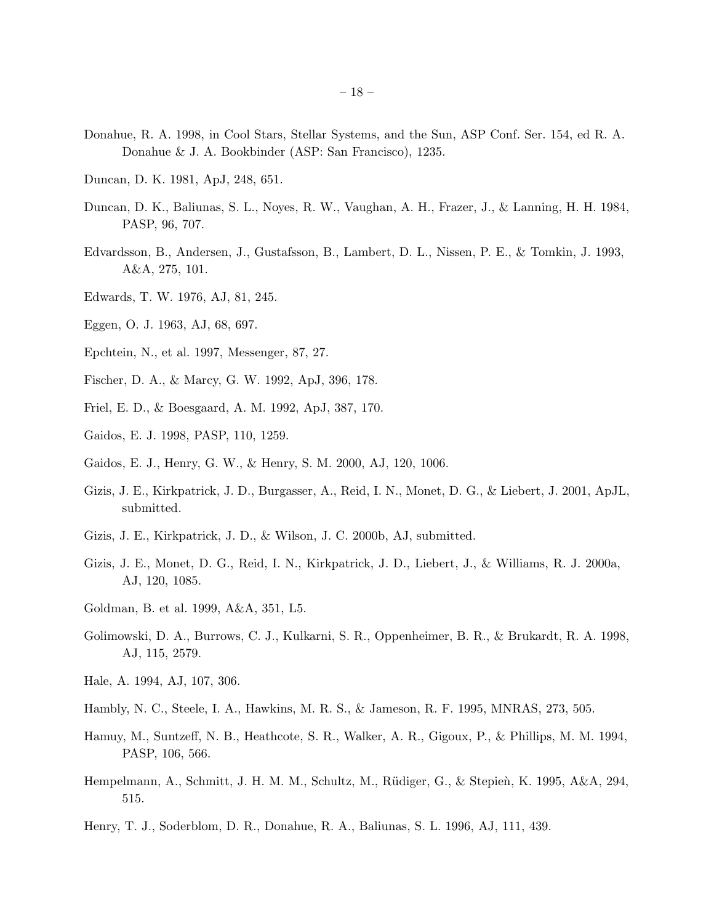- Donahue, R. A. 1998, in Cool Stars, Stellar Systems, and the Sun, ASP Conf. Ser. 154, ed R. A. Donahue & J. A. Bookbinder (ASP: San Francisco), 1235.
- Duncan, D. K. 1981, ApJ, 248, 651.
- Duncan, D. K., Baliunas, S. L., Noyes, R. W., Vaughan, A. H., Frazer, J., & Lanning, H. H. 1984, PASP, 96, 707.
- Edvardsson, B., Andersen, J., Gustafsson, B., Lambert, D. L., Nissen, P. E., & Tomkin, J. 1993, A&A, 275, 101.
- Edwards, T. W. 1976, AJ, 81, 245.
- Eggen, O. J. 1963, AJ, 68, 697.
- Epchtein, N., et al. 1997, Messenger, 87, 27.
- Fischer, D. A., & Marcy, G. W. 1992, ApJ, 396, 178.
- Friel, E. D., & Boesgaard, A. M. 1992, ApJ, 387, 170.
- Gaidos, E. J. 1998, PASP, 110, 1259.
- Gaidos, E. J., Henry, G. W., & Henry, S. M. 2000, AJ, 120, 1006.
- Gizis, J. E., Kirkpatrick, J. D., Burgasser, A., Reid, I. N., Monet, D. G., & Liebert, J. 2001, ApJL, submitted.
- Gizis, J. E., Kirkpatrick, J. D., & Wilson, J. C. 2000b, AJ, submitted.
- Gizis, J. E., Monet, D. G., Reid, I. N., Kirkpatrick, J. D., Liebert, J., & Williams, R. J. 2000a, AJ, 120, 1085.
- Goldman, B. et al. 1999, A&A, 351, L5.
- Golimowski, D. A., Burrows, C. J., Kulkarni, S. R., Oppenheimer, B. R., & Brukardt, R. A. 1998, AJ, 115, 2579.
- Hale, A. 1994, AJ, 107, 306.
- Hambly, N. C., Steele, I. A., Hawkins, M. R. S., & Jameson, R. F. 1995, MNRAS, 273, 505.
- Hamuy, M., Suntzeff, N. B., Heathcote, S. R., Walker, A. R., Gigoux, P., & Phillips, M. M. 1994, PASP, 106, 566.
- Hempelmann, A., Schmitt, J. H. M. M., Schultz, M., Rüdiger, G., & Stepien, K. 1995, A&A, 294, 515.
- Henry, T. J., Soderblom, D. R., Donahue, R. A., Baliunas, S. L. 1996, AJ, 111, 439.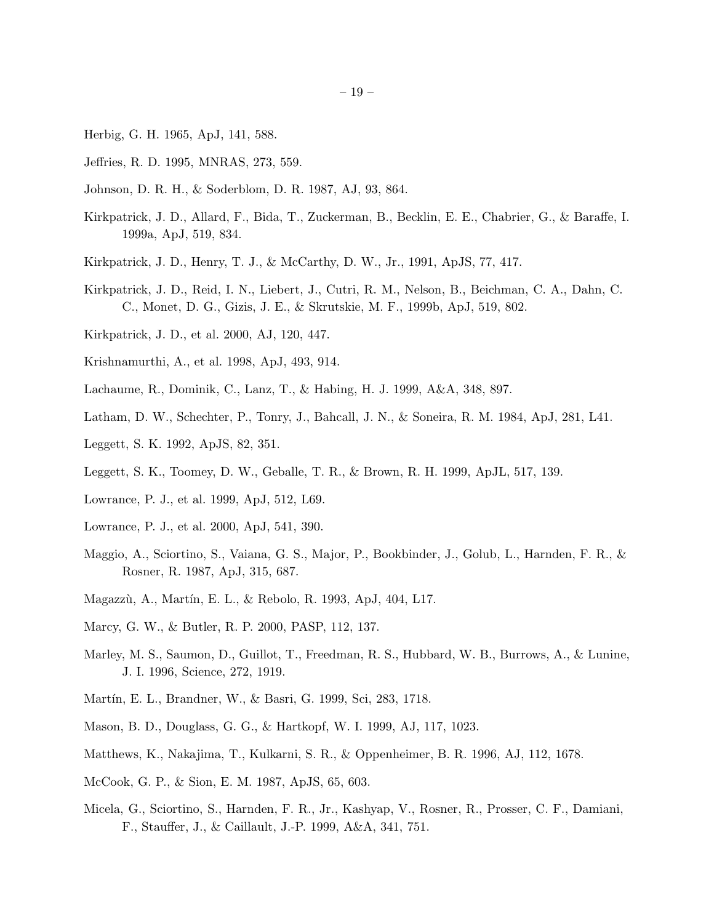- Herbig, G. H. 1965, ApJ, 141, 588.
- Jeffries, R. D. 1995, MNRAS, 273, 559.
- Johnson, D. R. H., & Soderblom, D. R. 1987, AJ, 93, 864.
- Kirkpatrick, J. D., Allard, F., Bida, T., Zuckerman, B., Becklin, E. E., Chabrier, G., & Baraffe, I. 1999a, ApJ, 519, 834.
- Kirkpatrick, J. D., Henry, T. J., & McCarthy, D. W., Jr., 1991, ApJS, 77, 417.
- Kirkpatrick, J. D., Reid, I. N., Liebert, J., Cutri, R. M., Nelson, B., Beichman, C. A., Dahn, C. C., Monet, D. G., Gizis, J. E., & Skrutskie, M. F., 1999b, ApJ, 519, 802.
- Kirkpatrick, J. D., et al. 2000, AJ, 120, 447.
- Krishnamurthi, A., et al. 1998, ApJ, 493, 914.
- Lachaume, R., Dominik, C., Lanz, T., & Habing, H. J. 1999, A&A, 348, 897.
- Latham, D. W., Schechter, P., Tonry, J., Bahcall, J. N., & Soneira, R. M. 1984, ApJ, 281, L41.
- Leggett, S. K. 1992, ApJS, 82, 351.
- Leggett, S. K., Toomey, D. W., Geballe, T. R., & Brown, R. H. 1999, ApJL, 517, 139.
- Lowrance, P. J., et al. 1999, ApJ, 512, L69.
- Lowrance, P. J., et al. 2000, ApJ, 541, 390.
- Maggio, A., Sciortino, S., Vaiana, G. S., Major, P., Bookbinder, J., Golub, L., Harnden, F. R., & Rosner, R. 1987, ApJ, 315, 687.
- Magazzù, A., Martín, E. L., & Rebolo, R. 1993, ApJ, 404, L17.
- Marcy, G. W., & Butler, R. P. 2000, PASP, 112, 137.
- Marley, M. S., Saumon, D., Guillot, T., Freedman, R. S., Hubbard, W. B., Burrows, A., & Lunine, J. I. 1996, Science, 272, 1919.
- Martín, E. L., Brandner, W., & Basri, G. 1999, Sci, 283, 1718.
- Mason, B. D., Douglass, G. G., & Hartkopf, W. I. 1999, AJ, 117, 1023.
- Matthews, K., Nakajima, T., Kulkarni, S. R., & Oppenheimer, B. R. 1996, AJ, 112, 1678.
- McCook, G. P., & Sion, E. M. 1987, ApJS, 65, 603.
- Micela, G., Sciortino, S., Harnden, F. R., Jr., Kashyap, V., Rosner, R., Prosser, C. F., Damiani, F., Stauffer, J., & Caillault, J.-P. 1999, A&A, 341, 751.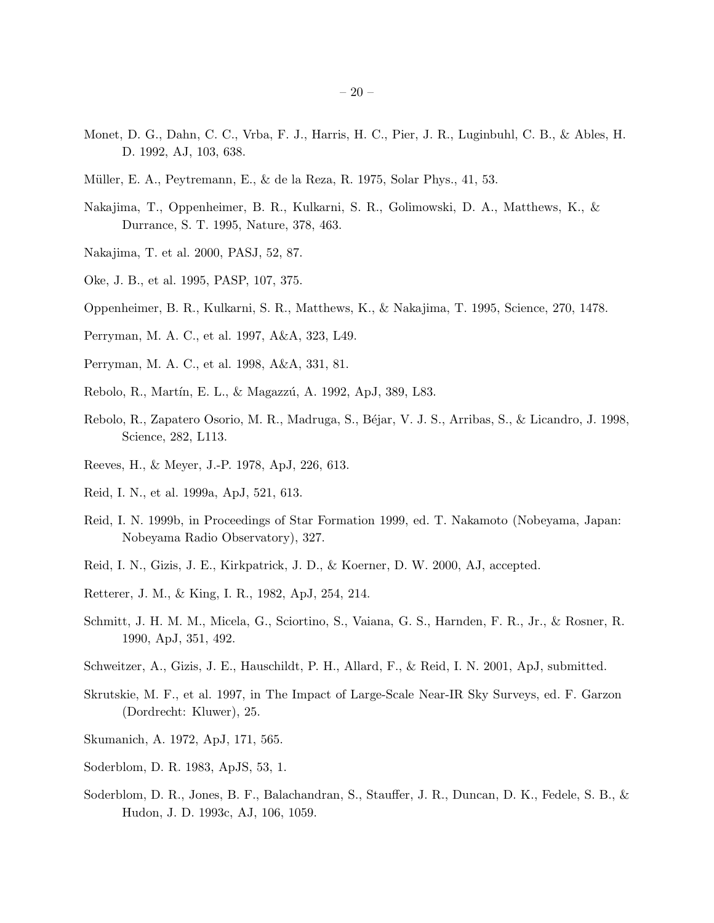- Monet, D. G., Dahn, C. C., Vrba, F. J., Harris, H. C., Pier, J. R., Luginbuhl, C. B., & Ables, H. D. 1992, AJ, 103, 638.
- Müller, E. A., Peytremann, E., & de la Reza, R. 1975, Solar Phys., 41, 53.
- Nakajima, T., Oppenheimer, B. R., Kulkarni, S. R., Golimowski, D. A., Matthews, K., & Durrance, S. T. 1995, Nature, 378, 463.
- Nakajima, T. et al. 2000, PASJ, 52, 87.
- Oke, J. B., et al. 1995, PASP, 107, 375.
- Oppenheimer, B. R., Kulkarni, S. R., Matthews, K., & Nakajima, T. 1995, Science, 270, 1478.
- Perryman, M. A. C., et al. 1997, A&A, 323, L49.
- Perryman, M. A. C., et al. 1998, A&A, 331, 81.
- Rebolo, R., Martín, E. L., & Magazzú, A. 1992, ApJ, 389, L83.
- Rebolo, R., Zapatero Osorio, M. R., Madruga, S., B´ejar, V. J. S., Arribas, S., & Licandro, J. 1998, Science, 282, L113.
- Reeves, H., & Meyer, J.-P. 1978, ApJ, 226, 613.
- Reid, I. N., et al. 1999a, ApJ, 521, 613.
- Reid, I. N. 1999b, in Proceedings of Star Formation 1999, ed. T. Nakamoto (Nobeyama, Japan: Nobeyama Radio Observatory), 327.
- Reid, I. N., Gizis, J. E., Kirkpatrick, J. D., & Koerner, D. W. 2000, AJ, accepted.
- Retterer, J. M., & King, I. R., 1982, ApJ, 254, 214.
- Schmitt, J. H. M. M., Micela, G., Sciortino, S., Vaiana, G. S., Harnden, F. R., Jr., & Rosner, R. 1990, ApJ, 351, 492.
- Schweitzer, A., Gizis, J. E., Hauschildt, P. H., Allard, F., & Reid, I. N. 2001, ApJ, submitted.
- Skrutskie, M. F., et al. 1997, in The Impact of Large-Scale Near-IR Sky Surveys, ed. F. Garzon (Dordrecht: Kluwer), 25.
- Skumanich, A. 1972, ApJ, 171, 565.
- Soderblom, D. R. 1983, ApJS, 53, 1.
- Soderblom, D. R., Jones, B. F., Balachandran, S., Stauffer, J. R., Duncan, D. K., Fedele, S. B., & Hudon, J. D. 1993c, AJ, 106, 1059.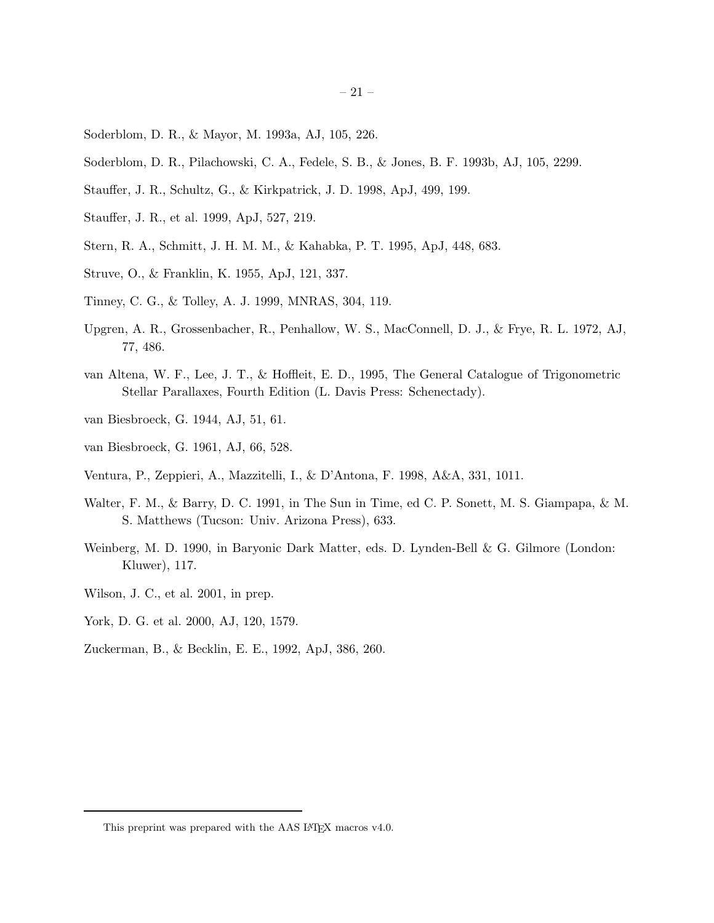- Soderblom, D. R., & Mayor, M. 1993a, AJ, 105, 226.
- Soderblom, D. R., Pilachowski, C. A., Fedele, S. B., & Jones, B. F. 1993b, AJ, 105, 2299.
- Stauffer, J. R., Schultz, G., & Kirkpatrick, J. D. 1998, ApJ, 499, 199.
- Stauffer, J. R., et al. 1999, ApJ, 527, 219.
- Stern, R. A., Schmitt, J. H. M. M., & Kahabka, P. T. 1995, ApJ, 448, 683.
- Struve, O., & Franklin, K. 1955, ApJ, 121, 337.
- Tinney, C. G., & Tolley, A. J. 1999, MNRAS, 304, 119.
- Upgren, A. R., Grossenbacher, R., Penhallow, W. S., MacConnell, D. J., & Frye, R. L. 1972, AJ, 77, 486.
- van Altena, W. F., Lee, J. T., & Hoffleit, E. D., 1995, The General Catalogue of Trigonometric Stellar Parallaxes, Fourth Edition (L. Davis Press: Schenectady).
- van Biesbroeck, G. 1944, AJ, 51, 61.
- van Biesbroeck, G. 1961, AJ, 66, 528.
- Ventura, P., Zeppieri, A., Mazzitelli, I., & D'Antona, F. 1998, A&A, 331, 1011.
- Walter, F. M., & Barry, D. C. 1991, in The Sun in Time, ed C. P. Sonett, M. S. Giampapa, & M. S. Matthews (Tucson: Univ. Arizona Press), 633.
- Weinberg, M. D. 1990, in Baryonic Dark Matter, eds. D. Lynden-Bell & G. Gilmore (London: Kluwer), 117.
- Wilson, J. C., et al. 2001, in prep.
- York, D. G. et al. 2000, AJ, 120, 1579.
- Zuckerman, B., & Becklin, E. E., 1992, ApJ, 386, 260.

This preprint was prepared with the AAS IATEX macros v4.0.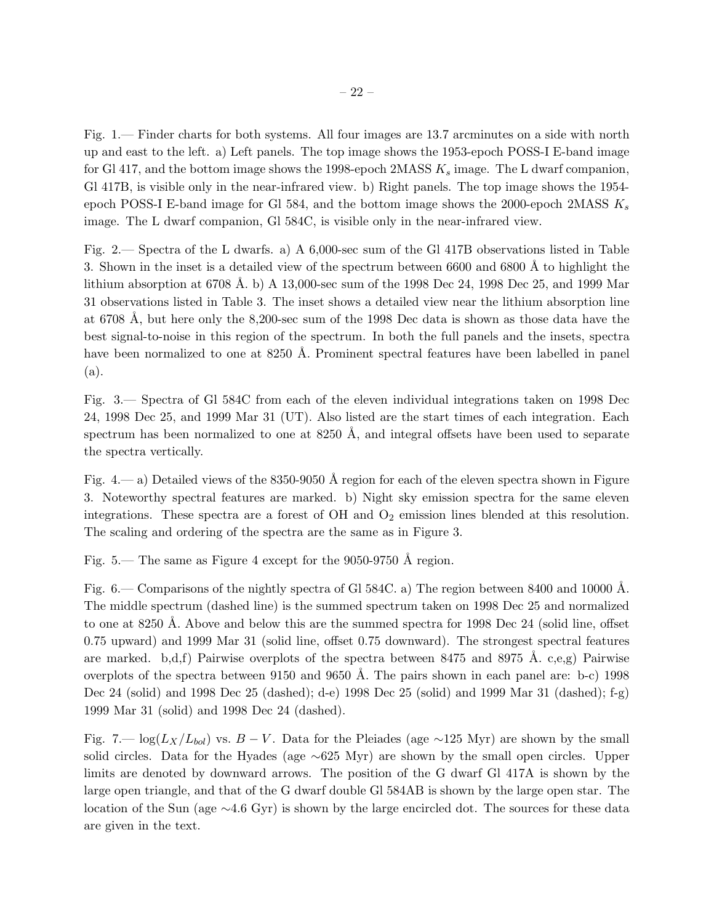Fig. 1.— Finder charts for both systems. All four images are 13.7 arcminutes on a side with north up and east to the left. a) Left panels. The top image shows the 1953-epoch POSS-I E-band image for Gl 417, and the bottom image shows the 1998-epoch 2MASS  $K_s$  image. The L dwarf companion, Gl 417B, is visible only in the near-infrared view. b) Right panels. The top image shows the 1954 epoch POSS-I E-band image for Gl 584, and the bottom image shows the 2000-epoch 2MASS  $K_s$ image. The L dwarf companion, Gl 584C, is visible only in the near-infrared view.

Fig. 2.— Spectra of the L dwarfs. a) A 6,000-sec sum of the Gl 417B observations listed in Table 3. Shown in the inset is a detailed view of the spectrum between 6600 and 6800 Å to highlight the lithium absorption at 6708 Å. b) A 13,000-sec sum of the 1998 Dec 24, 1998 Dec 25, and 1999 Mar 31 observations listed in Table 3. The inset shows a detailed view near the lithium absorption line at 6708 Å, but here only the 8,200-sec sum of the 1998 Dec data is shown as those data have the best signal-to-noise in this region of the spectrum. In both the full panels and the insets, spectra have been normalized to one at 8250 Å. Prominent spectral features have been labelled in panel (a).

Fig. 3.— Spectra of Gl 584C from each of the eleven individual integrations taken on 1998 Dec 24, 1998 Dec 25, and 1999 Mar 31 (UT). Also listed are the start times of each integration. Each spectrum has been normalized to one at  $8250 \text{ Å}$ , and integral offsets have been used to separate the spectra vertically.

Fig. 4.— a) Detailed views of the 8350-9050 Å region for each of the eleven spectra shown in Figure 3. Noteworthy spectral features are marked. b) Night sky emission spectra for the same eleven integrations. These spectra are a forest of  $OH$  and  $O<sub>2</sub>$  emission lines blended at this resolution. The scaling and ordering of the spectra are the same as in Figure 3.

Fig. 5.— The same as Figure 4 except for the  $9050-9750$  Å region.

Fig. 6.— Comparisons of the nightly spectra of Gl 584C. a) The region between 8400 and 10000 Å. The middle spectrum (dashed line) is the summed spectrum taken on 1998 Dec 25 and normalized to one at 8250 Å. Above and below this are the summed spectra for 1998 Dec 24 (solid line, offset 0.75 upward) and 1999 Mar 31 (solid line, offset 0.75 downward). The strongest spectral features are marked. b,d,f) Pairwise overplots of the spectra between 8475 and 8975 A. c,e,g) Pairwise overplots of the spectra between 9150 and 9650 Å. The pairs shown in each panel are: b-c) 1998 Dec 24 (solid) and 1998 Dec 25 (dashed); d-e) 1998 Dec 25 (solid) and 1999 Mar 31 (dashed); f-g) 1999 Mar 31 (solid) and 1998 Dec 24 (dashed).

Fig. 7.—  $\log(L_X/L_{bol})$  vs.  $B-V$ . Data for the Pleiades (age ∼125 Myr) are shown by the small solid circles. Data for the Hyades (age ∼625 Myr) are shown by the small open circles. Upper limits are denoted by downward arrows. The position of the G dwarf Gl 417A is shown by the large open triangle, and that of the G dwarf double Gl 584AB is shown by the large open star. The location of the Sun (age ∼4.6 Gyr) is shown by the large encircled dot. The sources for these data are given in the text.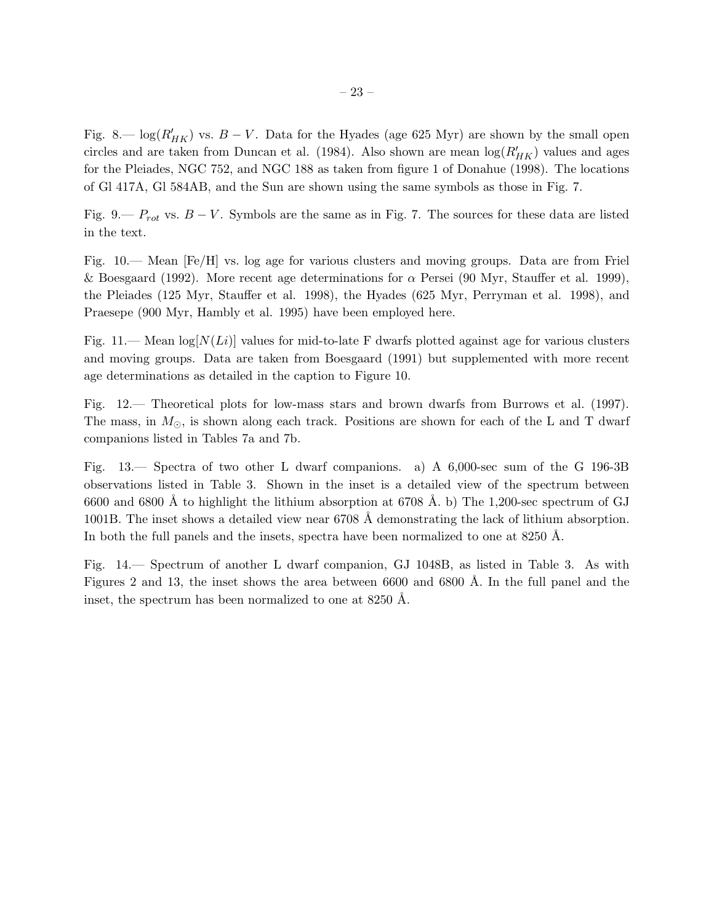Fig. 8.—  $\log(R'_{HK})$  vs.  $B-V$ . Data for the Hyades (age 625 Myr) are shown by the small open circles and are taken from Duncan et al. (1984). Also shown are mean  $\log(R'_{HK})$  values and ages for the Pleiades, NGC 752, and NGC 188 as taken from figure 1 of Donahue (1998). The locations of Gl 417A, Gl 584AB, and the Sun are shown using the same symbols as those in Fig. 7.

Fig. 9.—  $P_{rot}$  vs.  $B - V$ . Symbols are the same as in Fig. 7. The sources for these data are listed in the text.

Fig. 10.— Mean [Fe/H] vs. log age for various clusters and moving groups. Data are from Friel & Boesgaard (1992). More recent age determinations for  $\alpha$  Persei (90 Myr, Stauffer et al. 1999), the Pleiades (125 Myr, Stauffer et al. 1998), the Hyades (625 Myr, Perryman et al. 1998), and Praesepe (900 Myr, Hambly et al. 1995) have been employed here.

Fig. 11.— Mean  $\log[N(L_i)]$  values for mid-to-late F dwarfs plotted against age for various clusters and moving groups. Data are taken from Boesgaard (1991) but supplemented with more recent age determinations as detailed in the caption to Figure 10.

Fig. 12.— Theoretical plots for low-mass stars and brown dwarfs from Burrows et al. (1997). The mass, in  $M_{\odot}$ , is shown along each track. Positions are shown for each of the L and T dwarf companions listed in Tables 7a and 7b.

Fig. 13.— Spectra of two other L dwarf companions. a) A 6,000-sec sum of the G 196-3B observations listed in Table 3. Shown in the inset is a detailed view of the spectrum between 6600 and 6800 Å to highlight the lithium absorption at 6708 Å. b) The 1,200-sec spectrum of GJ 1001B. The inset shows a detailed view near 6708 A demonstrating the lack of lithium absorption. In both the full panels and the insets, spectra have been normalized to one at  $8250 \text{ Å}$ .

Fig. 14.— Spectrum of another L dwarf companion, GJ 1048B, as listed in Table 3. As with Figures 2 and 13, the inset shows the area between 6600 and 6800 Å. In the full panel and the inset, the spectrum has been normalized to one at 8250 Å.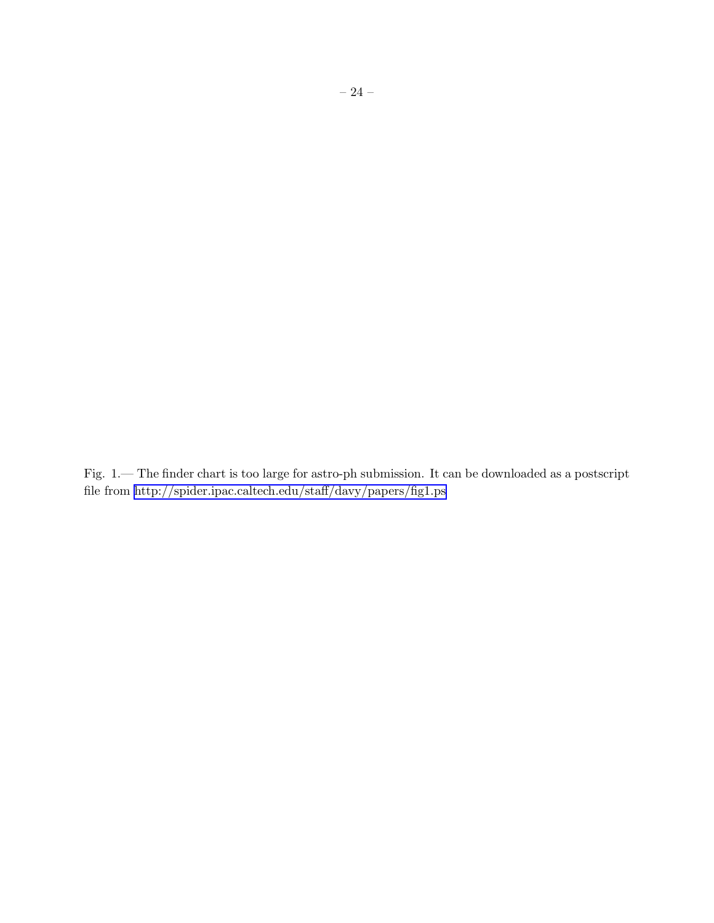Fig. 1.— The finder chart is too large for astro-ph submission. It can be downloaded as a postscript file from http://spider.ipac.caltech.edu/staff/davy/papers/fig1.ps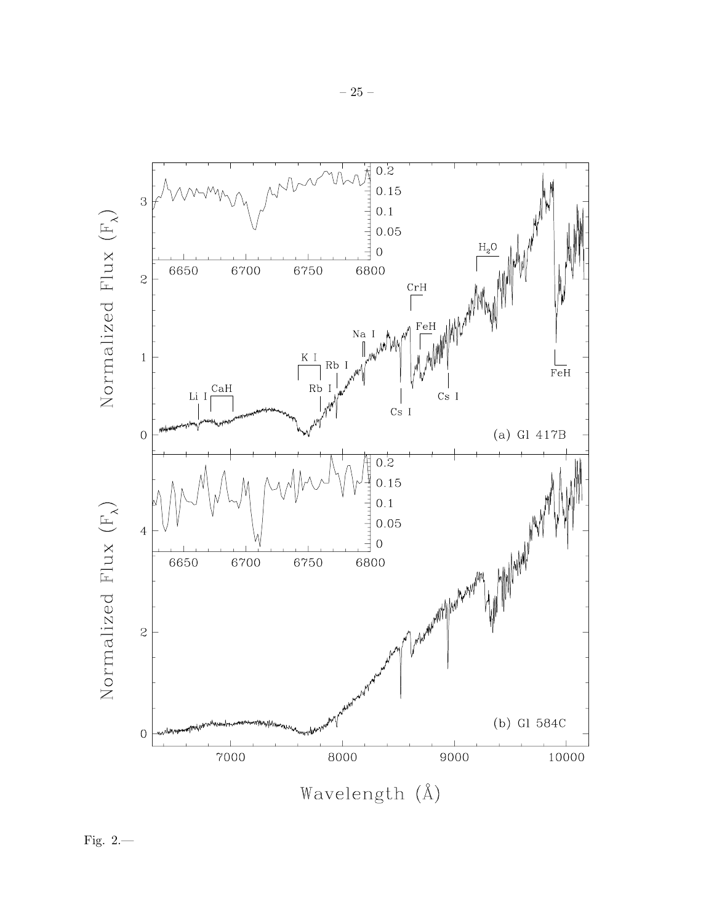

Fig.  $2$ .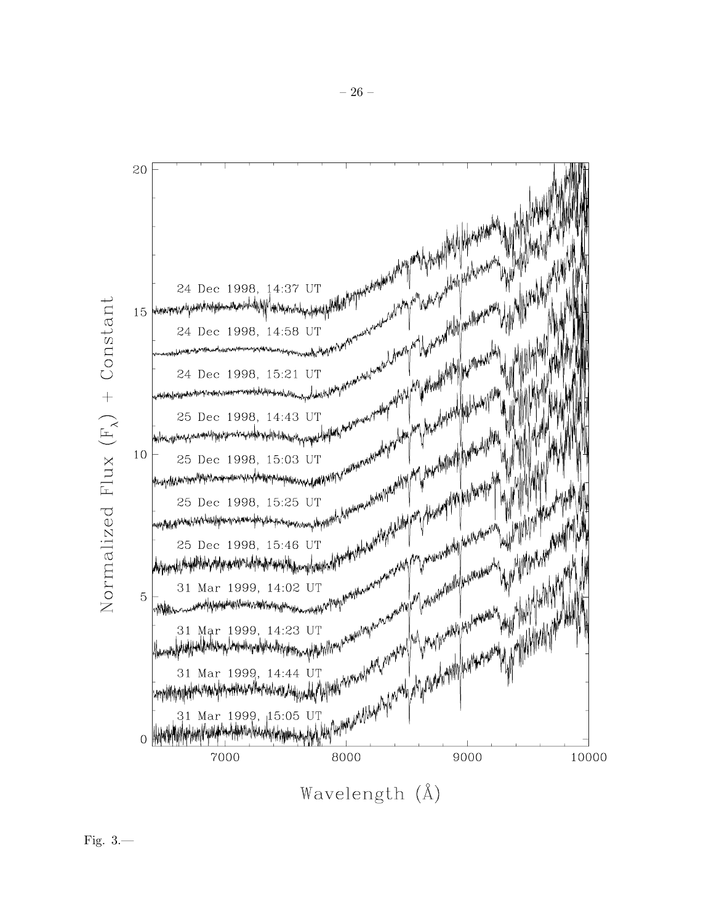

Wavelength (Å)

Fig.  $3$ .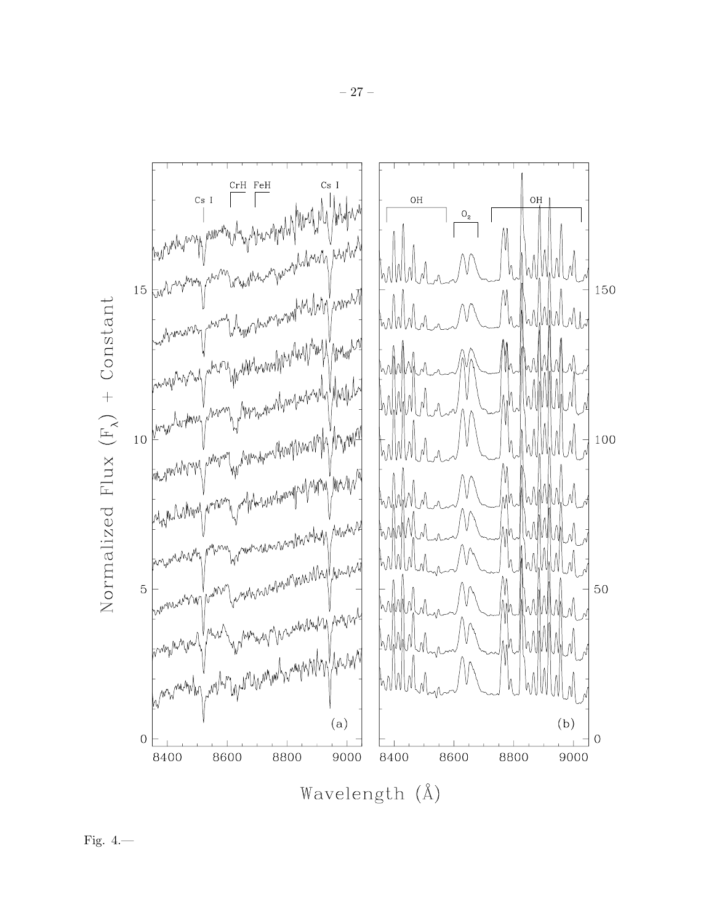

Fig.  $4$ .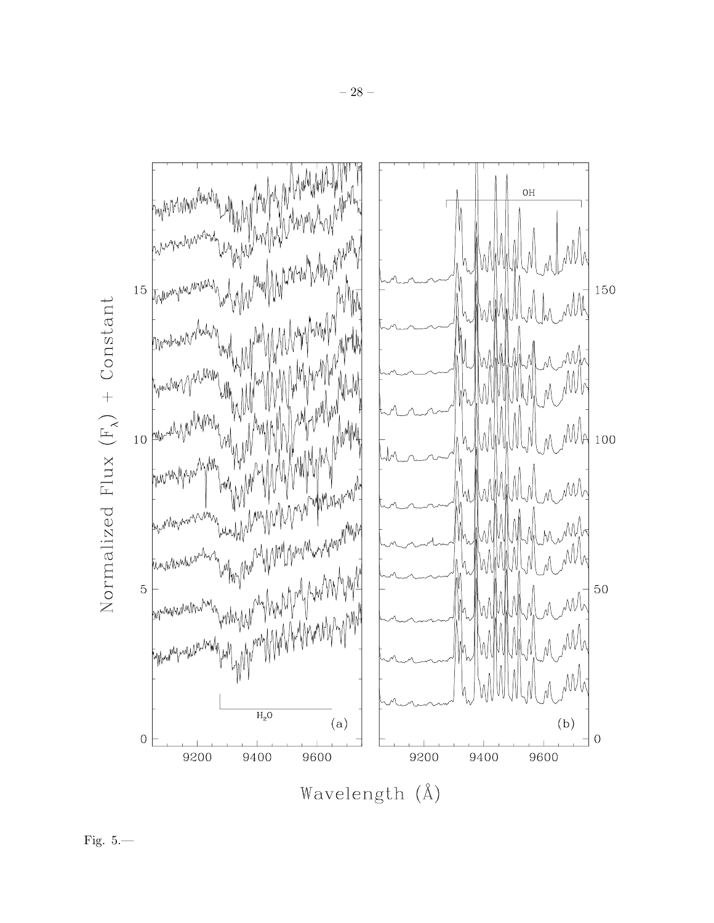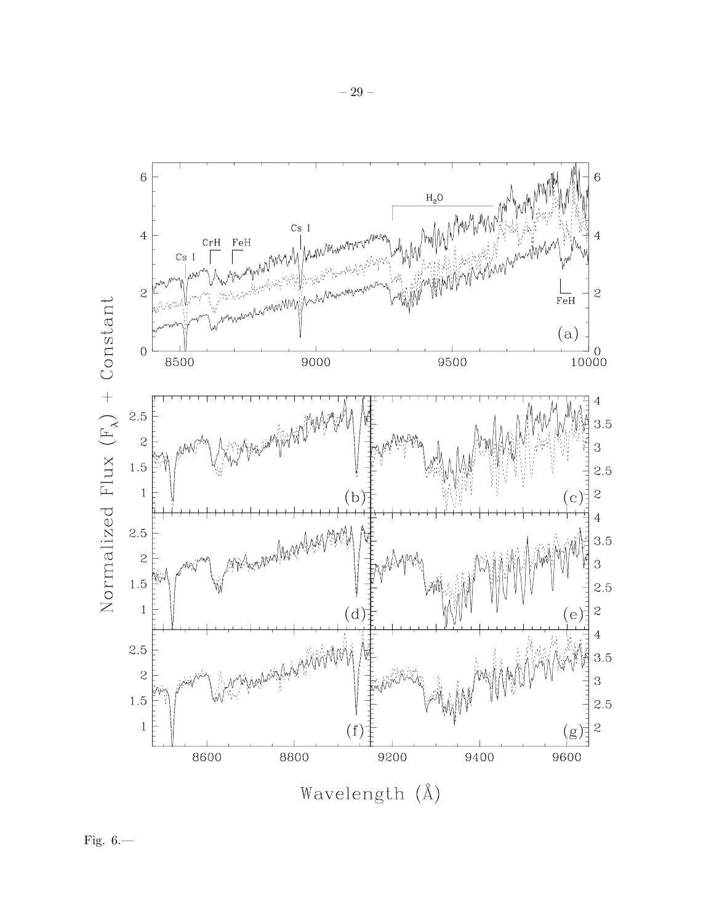

Fig.  $6$ .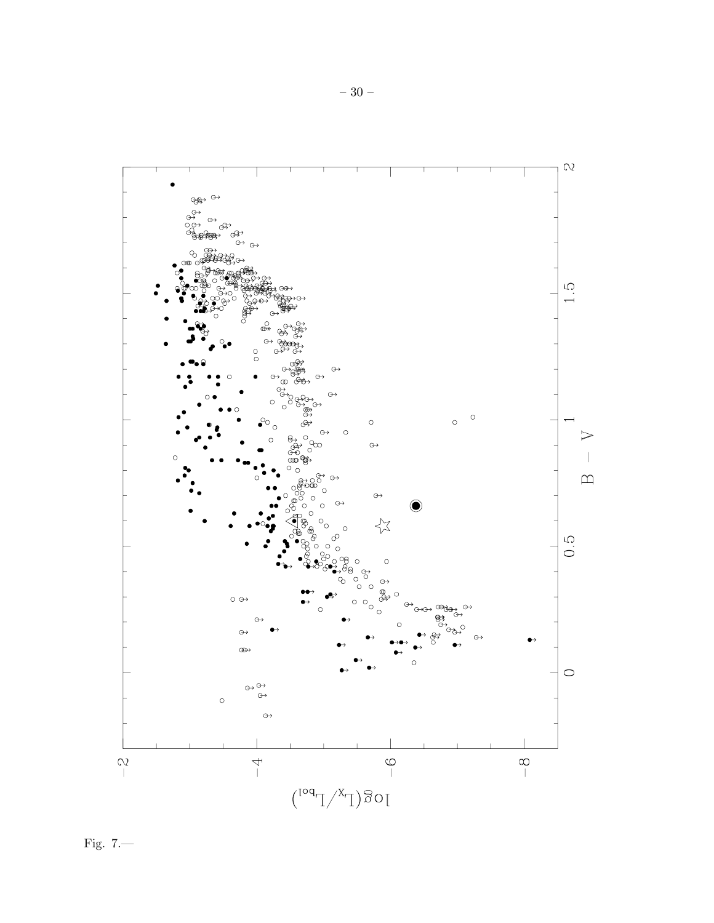

Fig.  $7$ .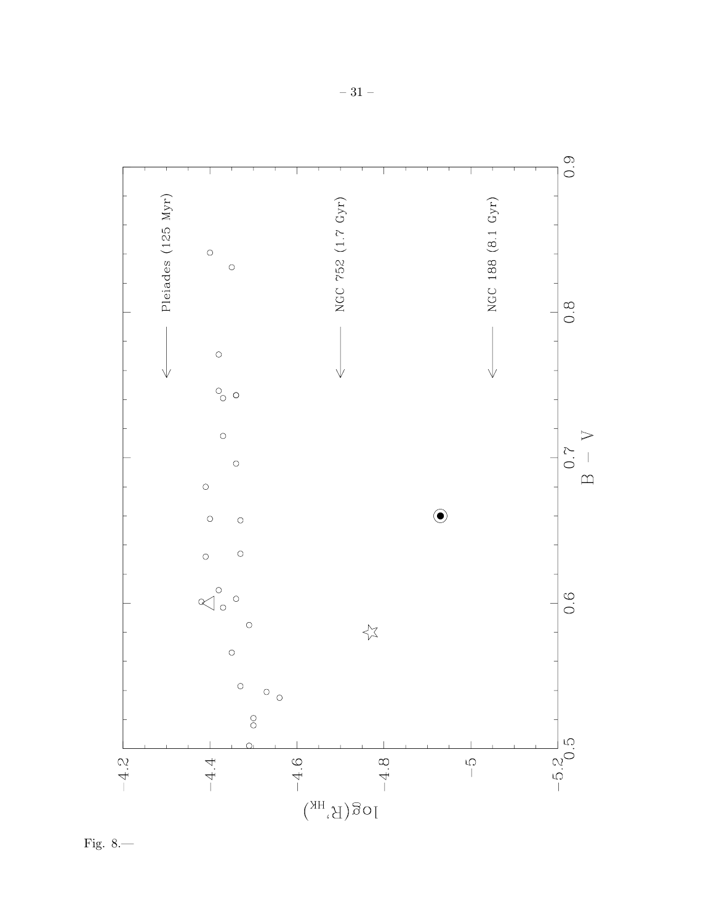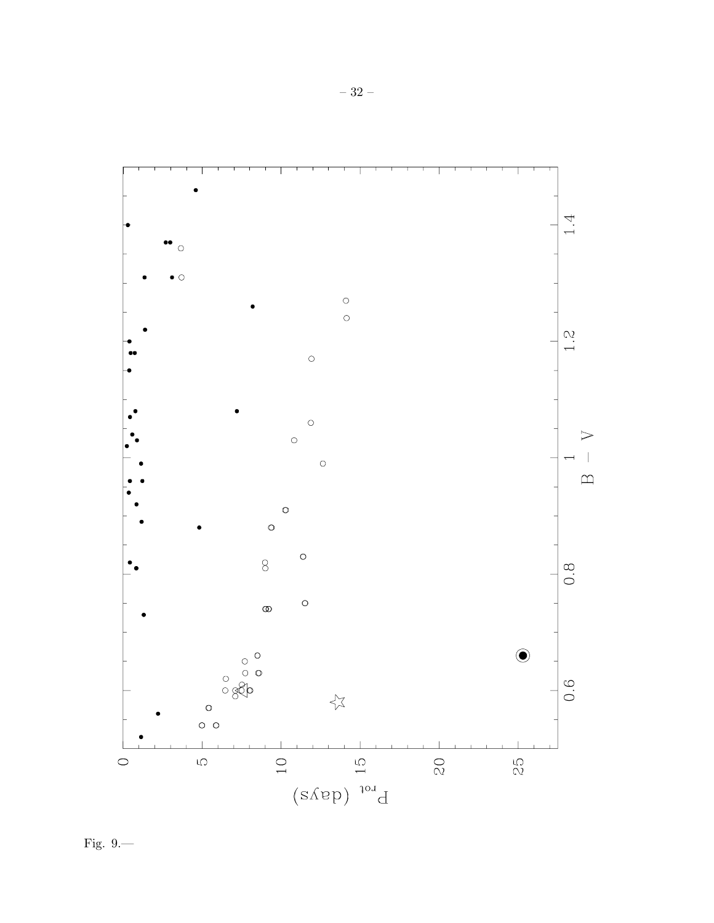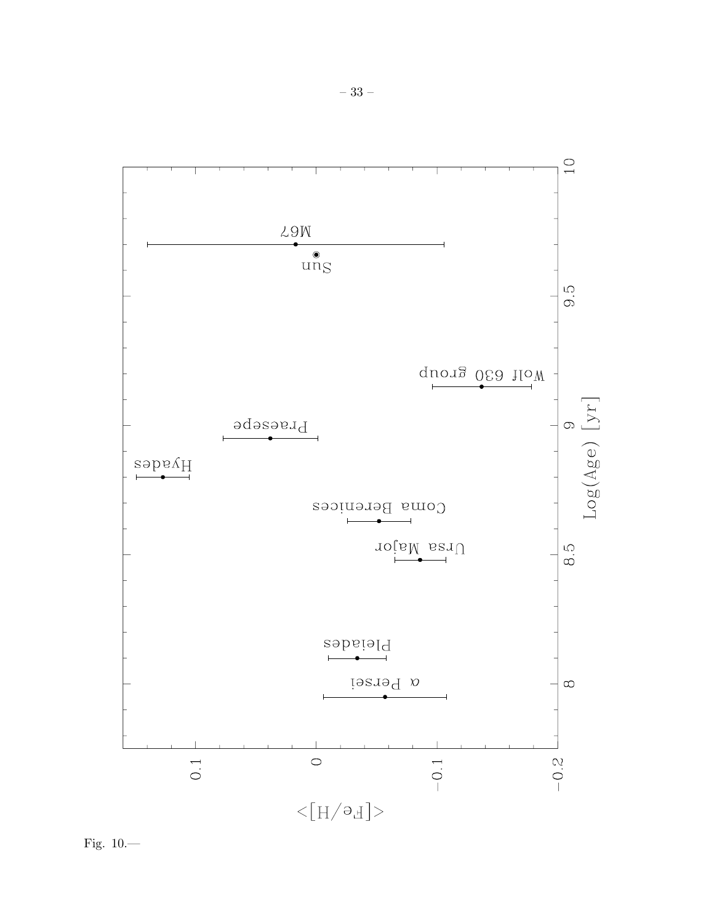

Fig.  $10-$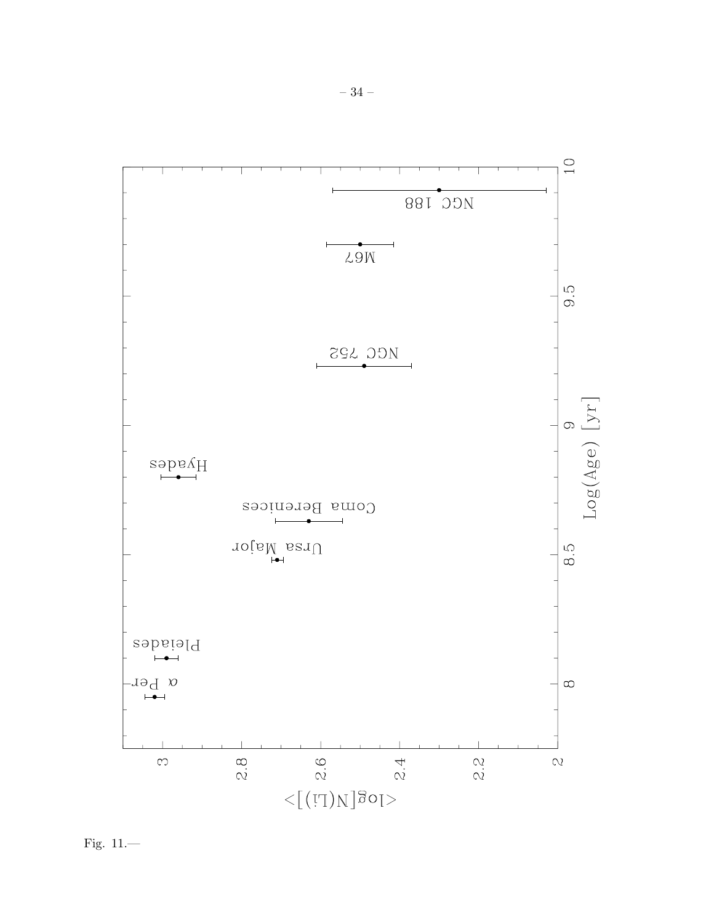

Fig.  $11$ .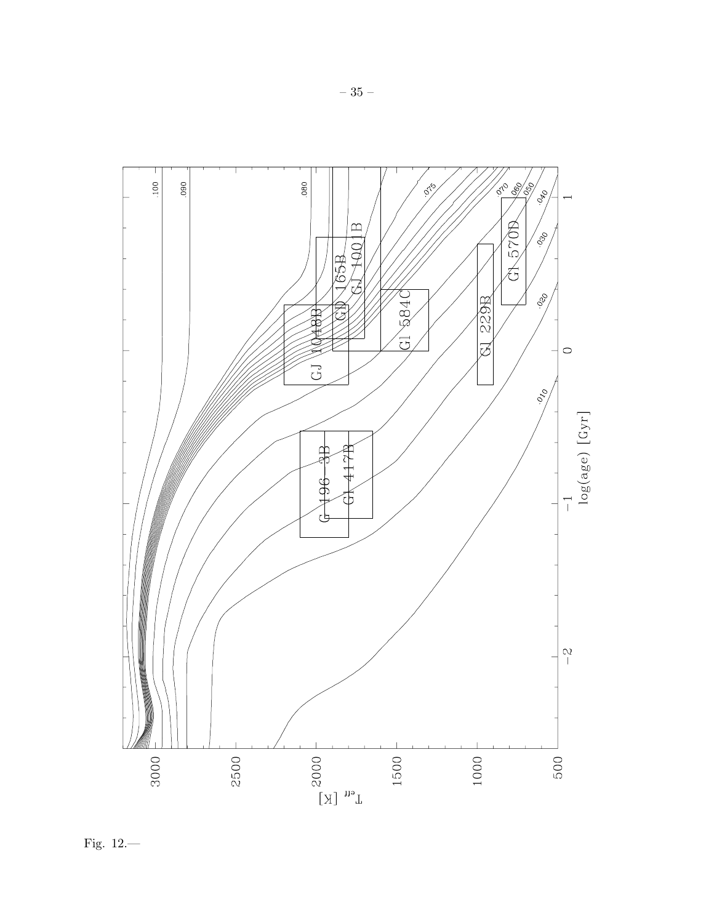

Fig.  $12$ .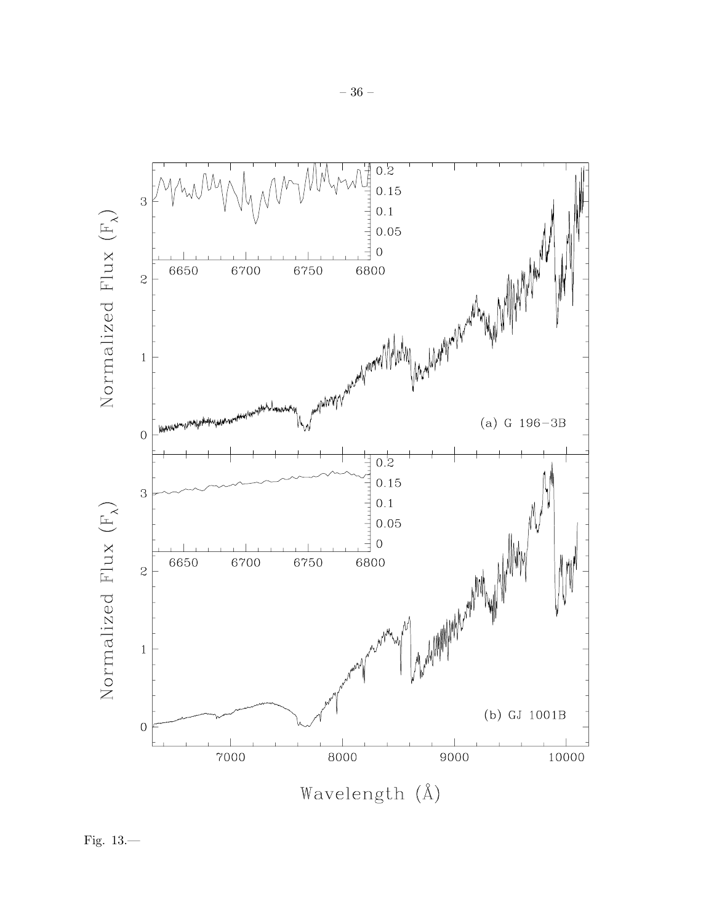

Fig.  $13-$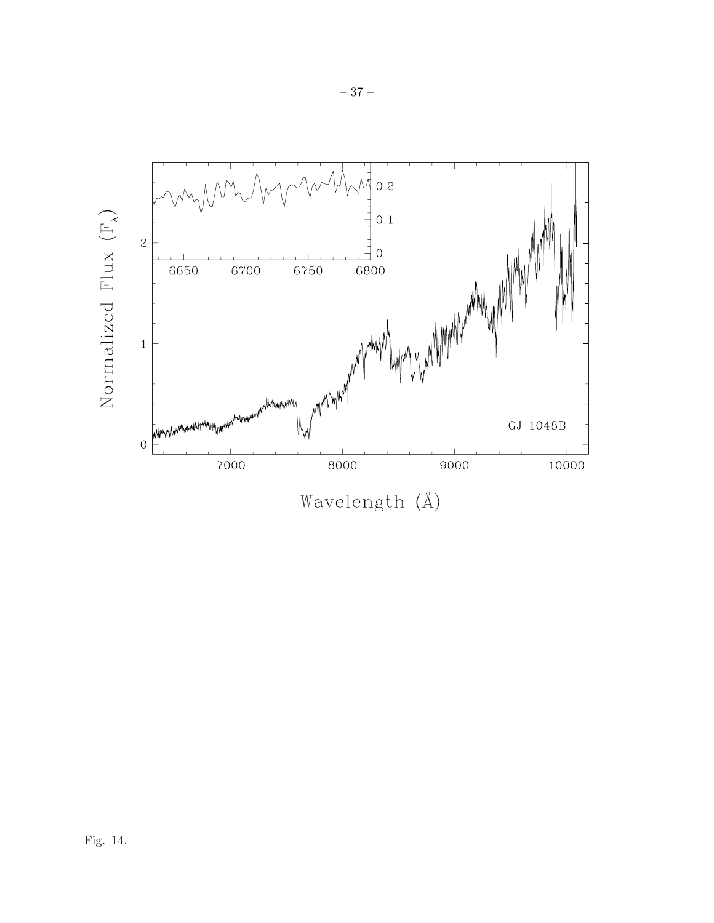

 $-37-$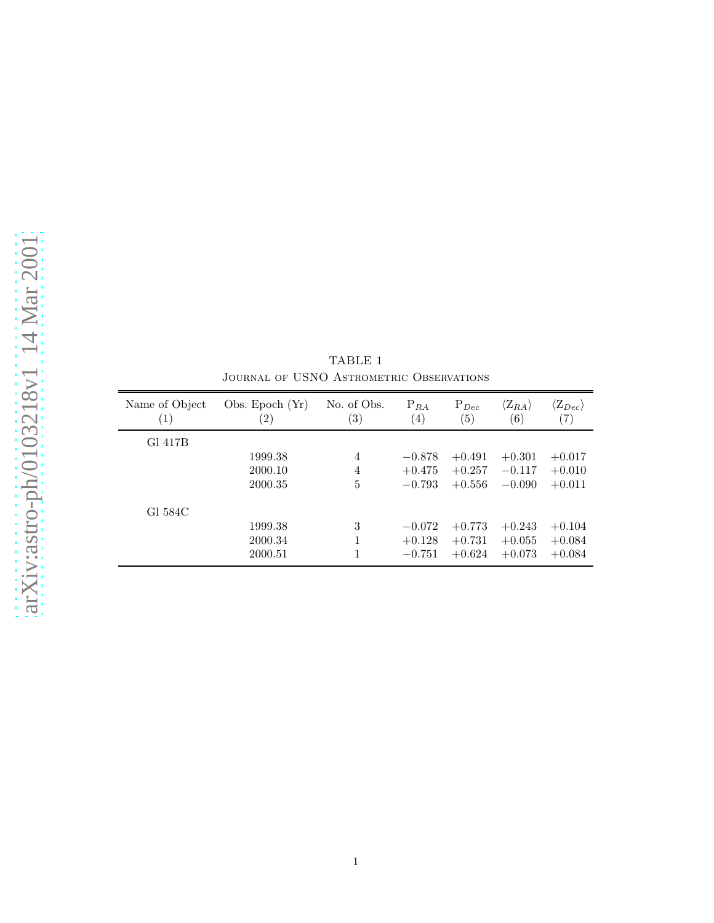| Name of Object<br>$\left( 1\right)$ | Obs. Epoch $(Yr)$<br>$\left( 2\right)$ | No. of Obs.<br>$\left( 3\right)$ | $P_{RA}$<br>$\left( 4\right)$ | $P_{Dec}$<br>(5) | $\langle \mathrm{Z}_{RA} \rangle$<br>(6) | $\langle \mathrm{Z}_{Dec} \rangle$<br>$\left( 7\right)$ |
|-------------------------------------|----------------------------------------|----------------------------------|-------------------------------|------------------|------------------------------------------|---------------------------------------------------------|
| Gl 417B                             |                                        |                                  |                               |                  |                                          |                                                         |
|                                     | 1999.38                                | 4                                | $-0.878$                      | $+0.491$         | $+0.301$                                 | $+0.017$                                                |
|                                     | 2000.10                                | 4                                | $+0.475$                      | $+0.257$         | $-0.117$                                 | $+0.010$                                                |
|                                     | 2000.35                                | 5                                | $-0.793$                      | $+0.556$         | $-0.090$                                 | $+0.011$                                                |
| Gl 584C                             |                                        |                                  |                               |                  |                                          |                                                         |
|                                     | 1999.38                                | 3                                | $-0.072$                      | $+0.773$         | $+0.243$                                 | $+0.104$                                                |
|                                     | 2000.34                                |                                  | $+0.128$                      | $+0.731$         | $+0.055$                                 | $+0.084$                                                |
|                                     | 2000.51                                |                                  | $-0.751$                      | $+0.624$         | $+0.073$                                 | $+0.084$                                                |

TABLE 1 Journal of USNO Astrometric Observations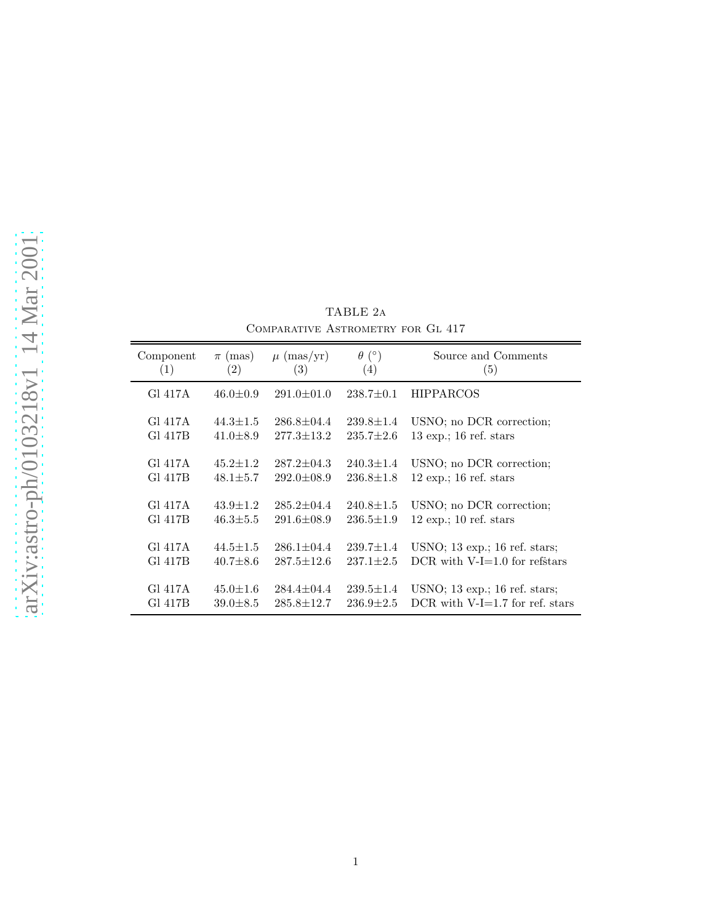| Component | $\pi$ (mas)       | $\mu$ (mas/yr)   | $\theta$ (°)      | Source and Comments                             |
|-----------|-------------------|------------------|-------------------|-------------------------------------------------|
| (1)       | $\left( 2\right)$ | (3)              | $\left( 4\right)$ | (5)                                             |
| GI 417A   | $46.0 \pm 0.9$    | $291.0 \pm 01.0$ | $238.7 \pm 0.1$   | <b>HIPPARCOS</b>                                |
| GI 417A   | $44.3 \pm 1.5$    | $286.8 \pm 04.4$ | $239.8 \pm 1.4$   | USNO; no DCR correction;                        |
| Gl 417B   | $41.0 \pm 8.9$    | $277.3 \pm 13.2$ | $235.7 \pm 2.6$   | $13 \exp$ ; 16 ref. stars                       |
| GI 417A   | $45.2 \pm 1.2$    | $287.2 + 04.3$   | $240.3 \pm 1.4$   | USNO; no DCR correction;                        |
| Gl 417B   | $48.1 \pm 5.7$    | $292.0 \pm 08.9$ | $236.8 \pm 1.8$   | $12 \exp : 16 \text{ ref. stars}$               |
| GI 417A   | $43.9 \pm 1.2$    | $285.2 \pm 04.4$ | $240.8 \pm 1.5$   | USNO; no DCR correction;                        |
| Gl 417B   | $46.3 \pm 5.5$    | $291.6 \pm 08.9$ | $236.5 \pm 1.9$   | $12 \exp$ ; 10 ref. stars                       |
| Gl 417A   | $44.5 \pm 1.5$    | $286.1 \pm 04.4$ | $239.7 \pm 1.4$   | USNO; $13 \text{ exp.}; 16 \text{ ref. stars};$ |
| G1 417B   | $40.7 \pm 8.6$    | $287.5 \pm 12.6$ | $237.1 \pm 2.5$   | DCR with $V-I=1.0$ for refstars                 |
| GI 417A   | $45.0 \pm 1.6$    | $284.4 \pm 04.4$ | $239.5 \pm 1.4$   | USNO; $13 \text{ exp.}; 16 \text{ ref. stars};$ |
| Gl 417B   | $39.0 \pm 8.5$    | $285.8 \pm 12.7$ | $236.9 \pm 2.5$   | DCR with $V-I=1.7$ for ref. stars               |

TABLE 2a Comparative Astrometry for Gl 417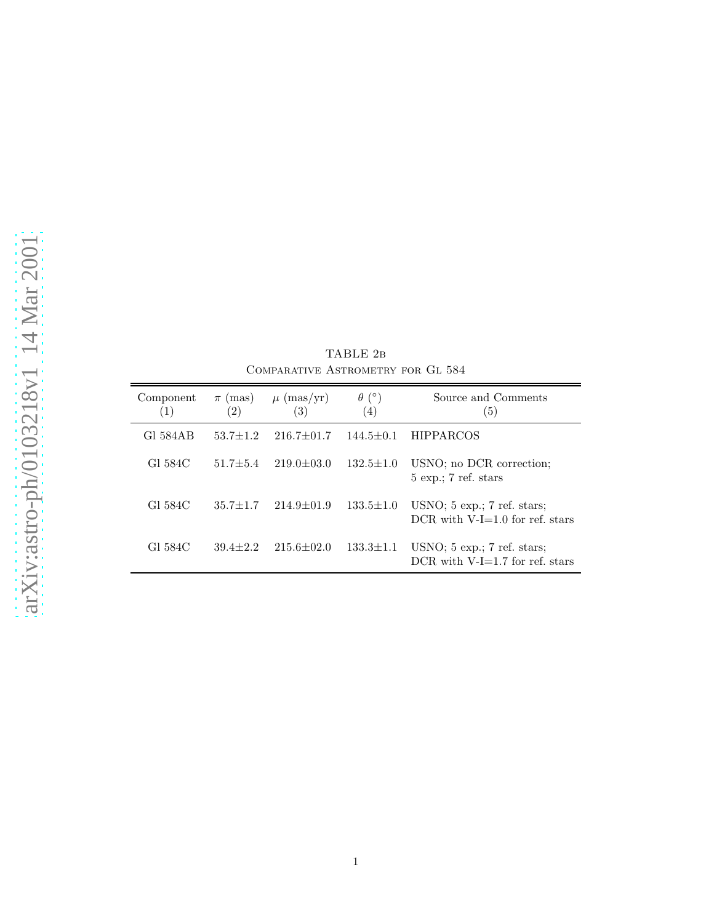| Component<br>$\left( 1\right)$ | $\pi$ (mas)<br>$\left( 2\right)$ | $\mu$ (mas/yr)<br>(3) | $\theta$ (°)<br>(4) | Source and Comments<br>(5)                                          |
|--------------------------------|----------------------------------|-----------------------|---------------------|---------------------------------------------------------------------|
| G1 584 A B                     | $53.7 \pm 1.2$                   | $216.7 \pm 01.7$      | $144.5 \pm 0.1$     | <b>HIPPARCOS</b>                                                    |
| G1 584C                        | $51.7 + 5.4$                     | $219.0 \pm 03.0$      | $132.5 \pm 1.0$     | USNO; no DCR correction;<br>$5 \exp$ ; 7 ref. stars                 |
| G1 584C                        | $35.7 \pm 1.7$                   | $214.9 \pm 01.9$      | $133.5 \pm 1.0$     | $USNO$ ; 5 exp.; 7 ref. stars;<br>DCR with $V-I=1.0$ for ref. stars |
| G1 584C                        | $39.4 + 2.2$                     | $215.6 + 02.0$        | $133.3 \pm 1.1$     | $USNO$ ; 5 exp.; 7 ref. stars;<br>DCR with $V-I=1.7$ for ref. stars |

TABLE 2b Comparative Astrometry for Gl 584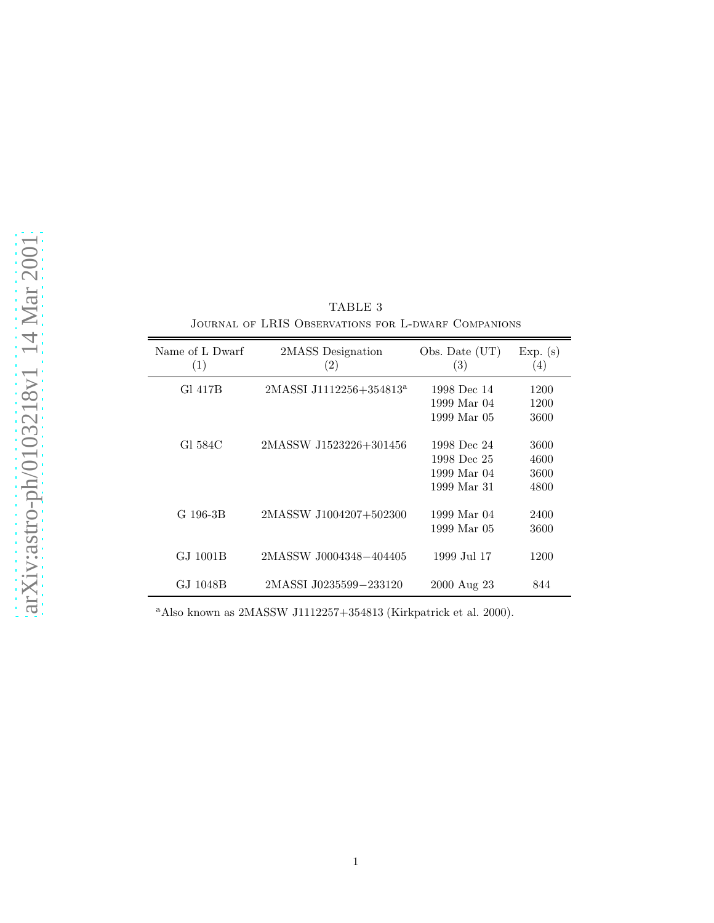| Name of L Dwarf<br>(1) | 2MASS Designation<br>(2)            | Obs. Date (UT)<br>(3)                                    | Exp. (s)<br>(4)              |
|------------------------|-------------------------------------|----------------------------------------------------------|------------------------------|
| Gl 417B                | 2MASSI J1112256+354813 <sup>a</sup> | 1998 Dec 14<br>1999 Mar 04<br>1999 Mar 05                | 1200<br>1200<br>3600         |
| GI 584C                | 2MASSW J1523226+301456              | 1998 Dec 24<br>1998 Dec 25<br>1999 Mar 04<br>1999 Mar 31 | 3600<br>4600<br>3600<br>4800 |
| G 196-3B               | 2MASSW J1004207+502300              | 1999 Mar 04<br>1999 Mar 05                               | 2400<br>3600                 |
| GJ 1001B               | 2MASSW J0004348-404405              | 1999 Jul 17                                              | 1200                         |
| GJ 1048B               | 2MASSI J0235599-233120              | 2000 Aug 23                                              | 844                          |

TABLE 3 Journal of LRIS Observations for L-dwarf Companions

<sup>a</sup>Also known as 2MASSW J1112257+354813 (Kirkpatrick et al. 2000).

 $\equiv$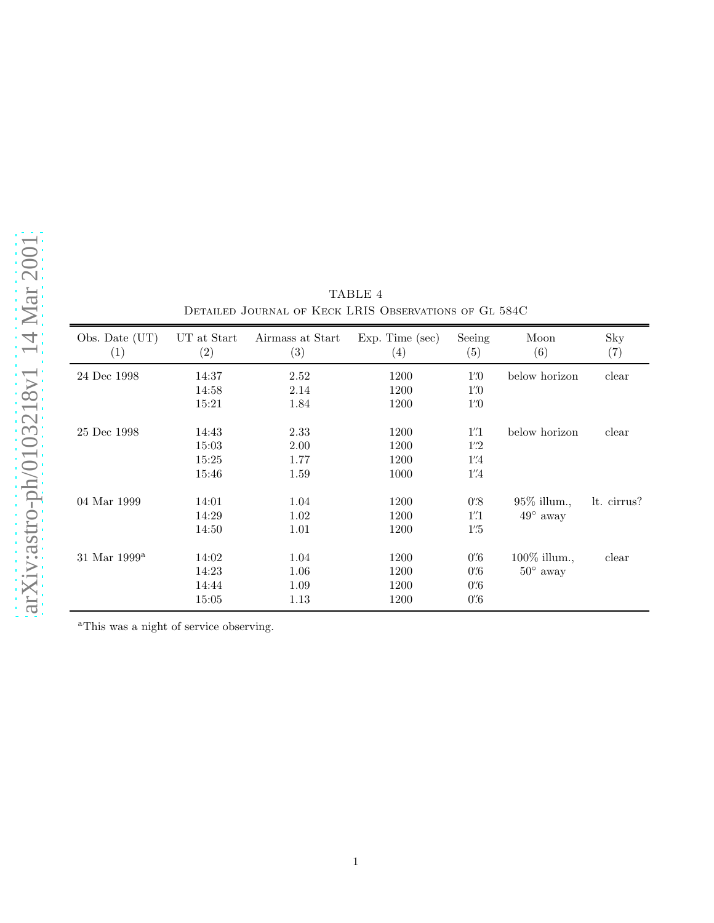| Obs. Date (UT)<br>$\left( 1\right)$ | UT at Start<br>(2) | Airmass at Start<br>$\left( 3\right)$ | $Exp.$ Time $(sec)$<br>$\left( 4\right)$ | Seeing<br>(5)                    | Moon<br>(6)       | Sky<br>(7)  |
|-------------------------------------|--------------------|---------------------------------------|------------------------------------------|----------------------------------|-------------------|-------------|
| 24 Dec 1998                         | 14:37              | 2.52                                  | 1200                                     | $1\rlap{.}^{\prime\prime}\!\!.0$ | below horizon     | clear       |
|                                     | 14:58              | 2.14                                  | 1200                                     | $1\overset{\prime\prime}{.}0$    |                   |             |
|                                     | 15:21              | 1.84                                  | 1200                                     | $1\rlap{.}^{\prime\prime}0$      |                   |             |
| 25 Dec 1998                         | 14:43              | 2.33                                  | 1200                                     | 1''1                             | below horizon     | clear       |
|                                     | 15:03              | 2.00                                  | 1200                                     | $1\overset{\prime\prime}{.}2$    |                   |             |
|                                     | 15:25              | 1.77                                  | 1200                                     | $1''\!\!.4$                      |                   |             |
|                                     | 15:46              | 1.59                                  | 1000                                     | $1''\!\!.4$                      |                   |             |
| 04 Mar 1999                         | 14:01              | 1.04                                  | 1200                                     | $0\overset{\prime\prime}{.}8$    | $95\%$ illum.,    | lt. cirrus? |
|                                     | 14:29              | 1.02                                  | 1200                                     | $1^{\prime\prime}1$              | $49^{\circ}$ away |             |
|                                     | 14:50              | 1.01                                  | 1200                                     | $1\overset{''}{.}5$              |                   |             |
| $31$ Mar $1999^a$                   | 14:02              | 1.04                                  | 1200                                     | $0^\prime\hskip-2pt.6$           | 100% illum.,      | clear       |
|                                     | 14:23              | 1.06                                  | 1200                                     | $0\rlap{.}^{\prime\prime}6$      | $50^{\circ}$ away |             |
|                                     | 14:44              | 1.09                                  | 1200                                     | $0^\prime\hskip-2pt.6$           |                   |             |
|                                     | 15:05              | 1.13                                  | 1200                                     | $0\rlap{.}^{\prime\prime}6$      |                   |             |

TABLE 4 Detailed Journal of Keck LRIS Observations of Gl 584C

<sup>a</sup>This was a night of service observing.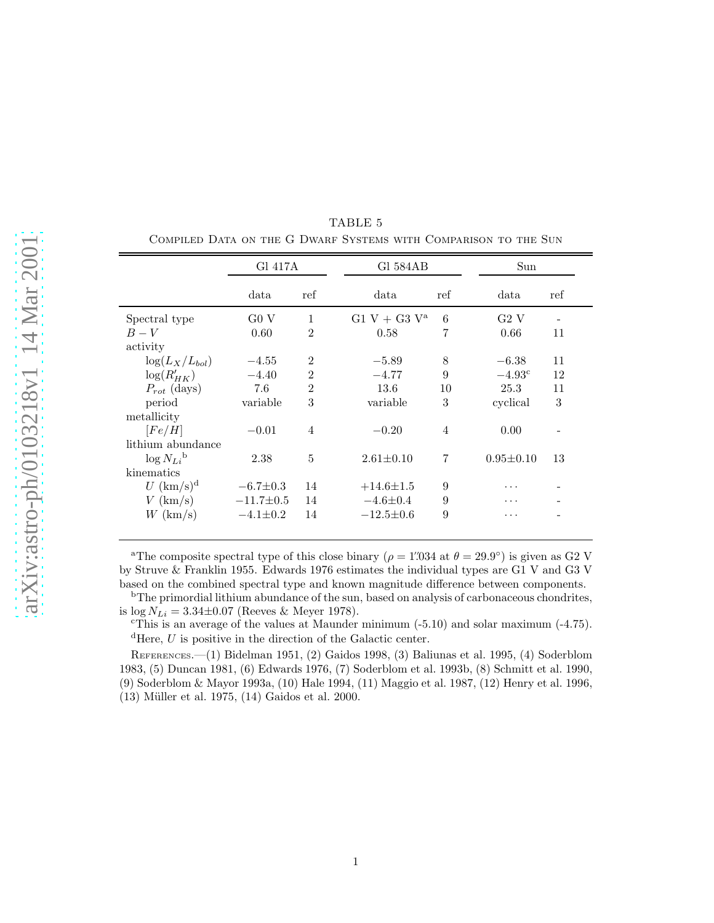|                            | Gl 417A         |                | Gl 584AB        |                |                 |     |  |
|----------------------------|-----------------|----------------|-----------------|----------------|-----------------|-----|--|
|                            | data            | ref            | data            | ref            | data            | ref |  |
| Spectral type              | G0 V            | $\mathbf{1}$   | $G1 V + G3 V^a$ | 6              | G2 V            |     |  |
| $B-V$                      | 0.60            | $\overline{2}$ | 0.58            | 7              | 0.66            | 11  |  |
| activity                   |                 |                |                 |                |                 |     |  |
| $\log(L_X/L_{bol})$        | $-4.55$         | $\overline{2}$ | $-5.89$         | 8              | $-6.38$         | 11  |  |
| $\log(R'_{HK})$            | $-4.40$         | $\overline{2}$ | $-4.77$         | 9              | $-4.93^{\circ}$ | 12  |  |
| $P_{rot}$ (days)           | 7.6             | $\overline{2}$ | 13.6            | 10             | 25.3            | 11  |  |
| period                     | variable        | 3              | variable        | 3              | cyclical        | 3   |  |
| metallicity                |                 |                |                 |                |                 |     |  |
| [Fe/H]                     | $-0.01$         | $\overline{4}$ | $-0.20$         | $\overline{4}$ | 0.00            |     |  |
| lithium abundance          |                 |                |                 |                |                 |     |  |
| $\log N_{Li}$ <sup>b</sup> | 2.38            | 5              | $2.61 \pm 0.10$ | 7              | $0.95 \pm 0.10$ | 13  |  |
| kinematics                 |                 |                |                 |                |                 |     |  |
| $U~({\rm km/s})^d$         | $-6.7 \pm 0.3$  | 14             | $+14.6 \pm 1.5$ | 9              | .               |     |  |
| $V$ (km/s)                 | $-11.7 \pm 0.5$ | 14             | $-4.6 \pm 0.4$  | 9              | .               |     |  |
| $W~({\rm km/s})$           | $-4.1 \pm 0.2$  | 14             | $-12.5 \pm 0.6$ | 9              | .               |     |  |
|                            |                 |                |                 |                |                 |     |  |

TABLE 5 Compiled Data on the G Dwarf Systems with Comparison to the Sun

<sup>a</sup>The composite spectral type of this close binary ( $\rho = 1'034$  at  $\theta = 29.9^{\circ}$ ) is given as G2 V by Struve & Franklin 1955. Edwards 1976 estimates the individual types are G1 V and G3 V based on the combined spectral type and known magnitude difference between components.

<sup>b</sup>The primordial lithium abundance of the sun, based on analysis of carbonaceous chondrites, is log  $N_{Li} = 3.34 \pm 0.07$  (Reeves & Meyer 1978).<br>
"This is an average of the values at Maunder minimum (-5.10) and solar maximum (-4.75).

 ${}^{\text{d}}$ Here, U is positive in the direction of the Galactic center.

REFERENCES.—(1) Bidelman 1951, (2) Gaidos 1998, (3) Baliunas et al. 1995, (4) Soderblom 1983, (5) Duncan 1981, (6) Edwards 1976, (7) Soderblom et al. 1993b, (8) Schmitt et al. 1990, (9) Soderblom & Mayor 1993a, (10) Hale 1994, (11) Maggio et al. 1987, (12) Henry et al. 1996,  $(13)$  Müller et al. 1975,  $(14)$  Gaidos et al. 2000.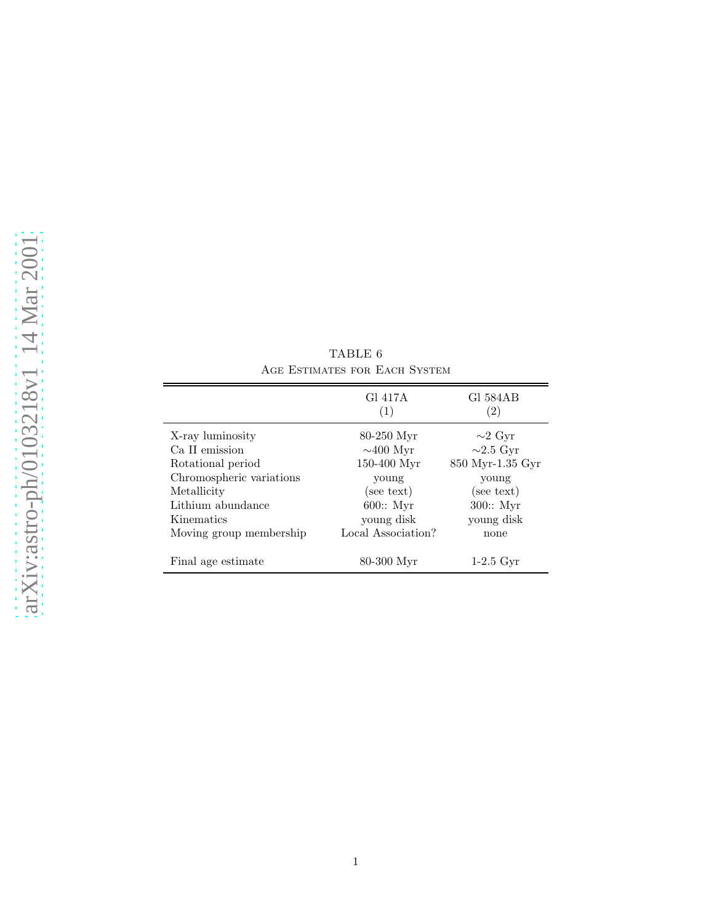| ╡<br>$\overline{\phantom{0}}$  |
|--------------------------------|
| $\bigcap_{i=1}^n$              |
|                                |
|                                |
| $\epsilon$                     |
| $\longleftarrow$               |
| $\tilde{a}$                    |
| $\overline{\phantom{0}}$       |
| $\geqslant$                    |
| ┥                              |
| ₹                              |
|                                |
| $\overline{\phantom{0}}$       |
|                                |
| $\overline{\phantom{0}}$       |
| þ<br>≧                         |
|                                |
| $\dot{\alpha}$                 |
| $\equiv$                       |
| LUO.                           |
| )                              |
| )                              |
| ۹<br>$\overline{\phantom{0}}$  |
|                                |
|                                |
| $\mathbf{\Xi}$                 |
| $\overline{\phantom{0}}$       |
| $\mathbf{\underline{\square}}$ |
|                                |
| $\supset$                      |
|                                |
| ð                              |
| <b>ASTE</b>                    |
| ٥                              |
| ۰<br>h                         |
| ╭                              |
| $\overline{\phantom{0}}$<br>o  |
| X                              |
|                                |
| 3H                             |
|                                |

 $\overline{a}$ 

|                          | Gl 417A<br>(1)     | G1 584AB<br>(2)  |
|--------------------------|--------------------|------------------|
| X-ray luminosity         | $80-250$ Myr       | $\sim$ 2 Gyr     |
| Ca II emission           | $\sim$ 400 Myr     | $\sim$ 2.5 Gyr   |
| Rotational period        | 150-400 Myr        | 850 Myr-1.35 Gyr |
| Chromospheric variations | young              | young            |
| Metallicity              | (see text)         | (see text)       |
| Lithium abundance        | $600::$ Myr        | $300::$ Myr      |
| Kinematics               | young disk         | young disk       |
| Moving group membership  | Local Association? | none             |
| Final age estimate       | 80-300 Myr         | $1-2.5$ Gyr      |

TABLE 6 Age Estimates for Each System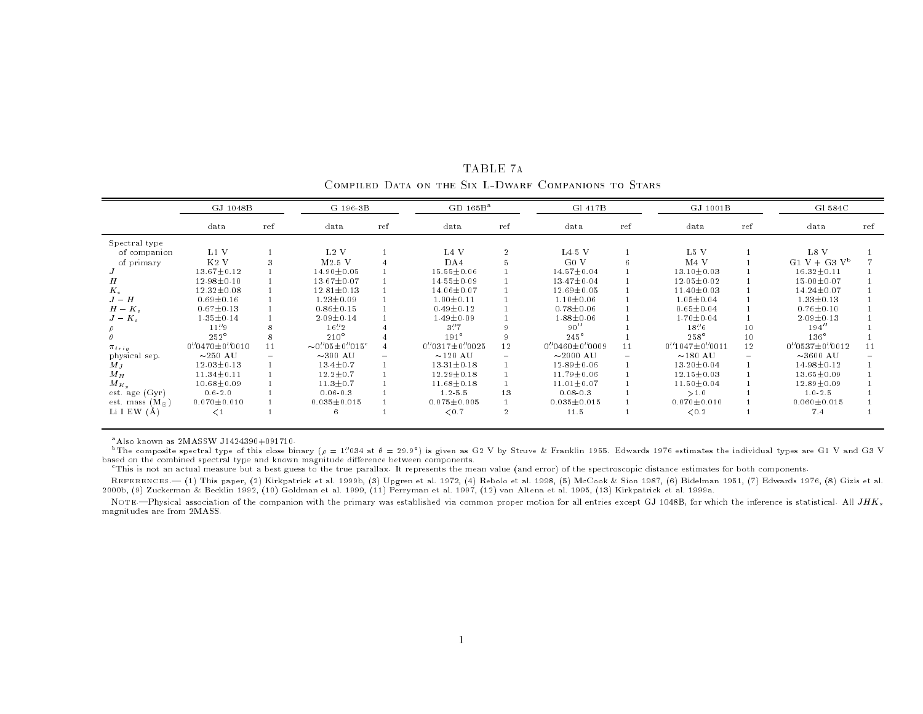|                         | GJ 1048B              |     | G 196-3B                  |     | $GD 165B^a$         |                | G1 417B               |     | GJ 1001B            |                 | G1 584C               |     |
|-------------------------|-----------------------|-----|---------------------------|-----|---------------------|----------------|-----------------------|-----|---------------------|-----------------|-----------------------|-----|
|                         | data                  | ref | data                      | ref | data                | ref            | data                  | ref | data                | ref             | data                  | ref |
| Spectral type           |                       |     |                           |     |                     |                |                       |     |                     |                 |                       |     |
| of companion            | $L1$ V                |     | $L2$ V                    |     | L <sub>4</sub> V    | $\overline{2}$ | $L4.5$ V              |     | L <sub>5</sub> V    |                 | L8 V                  |     |
| of primary              | K <sub>2</sub> V      |     | $M2.5$ V                  |     | DA4                 |                | G <sub>0</sub> V      | 6   | M <sub>4</sub> V    |                 | $G1 V + G3 V^b$       |     |
|                         | $13.67 \pm 0.12$      |     | 14.90±0.05                |     | $15.55 \pm 0.06$    |                | $14.57 \pm 0.04$      |     | $13.10 \pm 0.03$    |                 | $16.32 \pm 0.11$      |     |
| Н                       | $12.98 \pm 0.10$      |     | $13.67 \pm 0.07$          |     | $14.55 \pm 0.09$    |                | $13.47 \pm 0.04$      |     | $12.05 \pm 0.02$    |                 | $15.00 \pm 0.07$      |     |
| $K_{s}$                 | $12.32 \pm 0.08$      |     | $12.81 \pm 0.13$          |     | 14.06±0.07          |                | $12.69 \pm 0.05$      |     | $11.40 \pm 0.03$    |                 | 14.24±0.07            |     |
| $J-H$                   | $0.69 + 0.16$         |     | $1.23 \pm 0.09$           |     | $1.00 \pm 0.11$     |                | $1.10 \pm 0.06$       |     | $1.05 \pm 0.04$     |                 | $1.33 \pm 0.13$       |     |
| $H - K_s$               | $0.67 \pm 0.13$       |     | $0.86 \pm 0.15$           |     | $0.49 \pm 0.12$     |                | $0.78 + 0.06$         |     | $0.65 \pm 0.04$     |                 | $0.76 \pm 0.10$       |     |
| $J-K_s$                 | $1.35 \pm 0.14$       |     | $2.09 \pm 0.14$           |     | $1.49 \pm 0.09$     |                | $1.88 \pm 0.06$       |     | $1.70 \pm 0.04$     |                 | $2.09 \pm 0.13$       |     |
|                         | 11''9                 |     | 16''2                     |     | 3''7                |                | 90''                  |     | 18''6               | 10 <sup>°</sup> | 194''                 |     |
|                         | $252^{\circ}$         |     | $210^{\circ}$             |     | $191^\circ$         |                | $245^{\circ}$         |     | $258^\circ$         | 10              | $136^\circ$           |     |
| $\pi_{trig}$            | $0''0470 \pm 0''0010$ | 11  | $\sim 0''05 \pm 0''015$ ° |     | $0''0317 + 0''0025$ | 12             | $0''0460 \pm 0''0009$ | 11  | $0''1047 + 0''0011$ | 12              | $0''0537 \pm 0''0012$ | 11  |
| physical sep.           | $\sim$ 250 AU         | Ξ.  | $\sim$ 300 AU             | ÷.  | $\sim$ 120 AU       |                | $\sim$ 2000 AU        |     | $\sim$ 180 AU       | $\equiv$        | $\sim$ 3600 AU        |     |
| $M_{I}$                 | $12.03 \pm 0.13$      |     | $13.4 \pm 0.7$            |     | $13.31 \pm 0.18$    |                | $12.89 \pm 0.06$      |     | $13.20 \pm 0.04$    |                 | 14.98 ± 0.12          |     |
| $M_H$                   | $11.34 \pm 0.11$      |     | $12.2 \pm 0.7$            |     | $12.29 \pm 0.18$    |                | $11.79 \pm 0.06$      |     | $12.15 \pm 0.03$    |                 | $13.65 \pm 0.09$      |     |
| $M_{K, \epsilon}$       | $10.68 \pm 0.09$      |     | $11.3 \pm 0.7$            |     | $11.68 \pm 0.18$    |                | $11.01 \pm 0.07$      |     | $11.50 \pm 0.04$    |                 | $12.89 \pm 0.09$      |     |
| est. age (Gyr)          | $0.6 - 2.0$           |     | $0.06 - 0.3$              |     | $1.2 - 5.5$         | 13             | $0.08 - 0.3$          |     | >1.0                |                 | $1.0 - 2.5$           |     |
| est. mass $(M_{\odot})$ | $0.070 \pm 0.010$     |     | $0.035 \pm 0.015$         |     | $0.075 \pm 0.005$   |                | $0.035 \pm 0.015$     |     | $0.070 \pm 0.010$   |                 | $0.060 \pm 0.015$     |     |
| Li I EW $(A)$           | $\lt 1$               |     | 6                         |     | < 0.7               | 2              | 11.5                  |     | < 0.2               |                 | 7.4                   |     |

TABLE 7a Compiled Data on the Six L-Dwarf Companions to Stars

 $^{\text{a}}$ Also known as 2MASSW J1424390+091710.

<sup>b</sup>The composite spectral type of this close binary ( $\rho = 1$ '034 at  $\theta = 29.9^{\circ}$ ) is given as G2 V by Struve & Franklin 1955. Edwards 1976 estimates the individual types are G1 V and G3 V based on the combined spectral type and known magnitude difference between components.

cThis is not an actual measure but <sup>a</sup> best guess to the true parallax. It represents the mean value (and error) of the spectroscopic distance estimates for both components.

REFERENCES.| (1) This paper, (2) Kirkpatrick et al. 1999b, (3) Upgren et al. 1972, (4) Rebolo et al. 1998, (5) McCook & Sion 1987, (6) Bidelman 1951, (7) Edwards 1976, (8) Gizis et al. 2000b, (9) Zuckerman & Becklin 1992, (10) Goldman et al. 1999, (11) Perryman et al. 1997, (12) van Altena et al. 1995, (13) Kirkpatrick et al. 1999a.

NOTE.—Physical association of the companion with the primary was established via common proper motion for all entries except GJ 1048B, for which the inference is statistical. All JHK<sub>s</sub> magnitudes are from 2MASS.